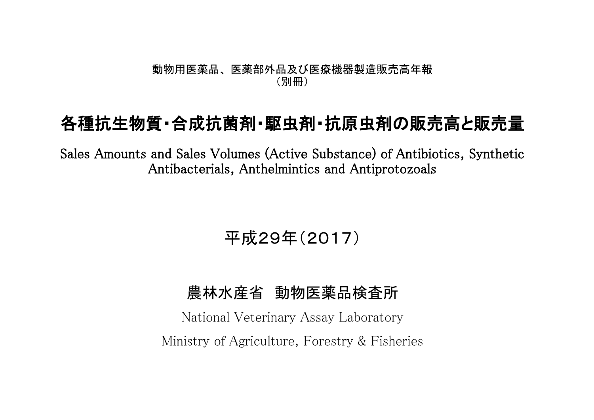#### 動物用医薬品、 医薬部外品及び医療機器製造販売高年報 (別冊)

## 各種抗生物質・合成抗菌剤・駆虫剤・抗原虫剤の販売高と販売量

Sales Amounts and Sales Volumes (Active Substance) of Antibiotics, Synthetic Antibacterials, Anthelmintics and Antiprotozoals

# 平成29年(2017)

### 農林水産省 動物医薬品検査所

National Veterinary Assay Laboratory Ministry of Agriculture, Forestry & Fisheries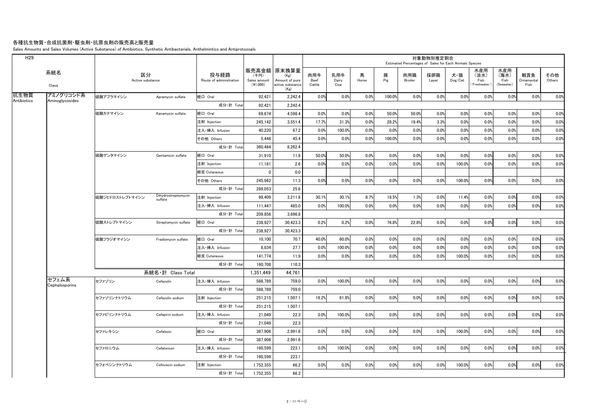#### 各種抗生物質・合成抗菌剤・駆虫剤・抗原虫剤の販売高と販売量

Sales Amounts and Sales Volumes (Active Substance) of Antibiotics, Synthetic Antibacterials, Anthelmintics and Antiprotozoals

| H <sub>29</sub>     |                                |                        |                                |                                 |                                  |                                                                                |                              |                     |       |          |                | 対象動物別推定割合<br>Estimated Percentages of Sales for Each Animals Species |                                    |                                    |                                   |                           |               |
|---------------------|--------------------------------|------------------------|--------------------------------|---------------------------------|----------------------------------|--------------------------------------------------------------------------------|------------------------------|---------------------|-------|----------|----------------|----------------------------------------------------------------------|------------------------------------|------------------------------------|-----------------------------------|---------------------------|---------------|
|                     | 系統名<br>Class                   | 区分<br>Active substance |                                | 投与経路<br>Route of administration | (千円)<br>Sales amount<br>(41,000) | 販売高金額  原末換算量 <br>(Kg)<br>Amount of pure<br>active substance<br>$(\mathsf{Kg})$ | 肉用牛<br><b>Beef</b><br>Cattle | 乳用牛<br>Dairy<br>Cow | Horse | 豚<br>Pig | 肉用鶏<br>Broiler | 採卵鶏<br>Layer                                                         | 犬・猫<br>$\mathsf{Dog}/\mathsf{Cat}$ | 水産用<br>(淡水)<br>Fish<br>(Freshwater | 水産用<br>(海水)<br>Fish<br>(Seawater) | 観賞魚<br>Ornamental<br>Fish | その他<br>Others |
| 抗生物質<br>Antibiotics | アミノグリコシド系                      | 麻酸アプラマイシン              | Apramycin sulfate              | 経口 Oral                         | 92,421                           | 2,242.4                                                                        | 0.0%                         | 0.0%                | 0.0%  | 100.0%   | 0.0%           | 0.0%                                                                 | 0.0%                               | 0.0%                               | 0.0%                              | 0.0%                      | 0.0%          |
|                     | Aminoglycosides                |                        |                                | 成分·計 Total                      | 92,421                           | 2,242.4                                                                        |                              |                     |       |          |                |                                                                      |                                    |                                    |                                   |                           |               |
|                     |                                | 硫酸カナマイシン               | Kanamycin sulfate              | 経口 Oral                         | 69,674                           | 4,598.4                                                                        | 0.0%                         | 0.0%                | 0.0%  | 50.0%    | 50.0%          | 0.0%                                                                 | 0.0%                               | 0.0%                               | 0.0%                              | 0.0%                      | 0.0%          |
|                     |                                |                        |                                | 注射 Injection                    | 245,142                          | 3,551.4                                                                        | 17.7%                        | 31.3%               | 0.0%  | 28.2%    | 19.4%          | 3.3%                                                                 | 0.0%                               | 0.0%                               | 0.0%                              | 0.0%                      | 0.0%          |
|                     |                                |                        |                                | 注入·挿入 Infusion                  | 40,220                           | 67.2                                                                           | 0.0%                         | 100.0%              | 0.0%  | 0.0%     | 0.0%           | 0.0%                                                                 | 0.0%                               | 0.0%                               | 0.0%                              | 0.0%                      | 0.0%          |
|                     |                                |                        |                                | その他 Others                      | 5,448                            | 45.4                                                                           | 0.0%                         | 0.0%                | 0.0%  | 100.0%   | 0.0%           | 0.0%                                                                 | 0.0%                               | 0.0%                               | 0.0%                              | 0.0%                      | 0.0%          |
|                     |                                |                        |                                | 成分·計 Total                      | 360,484                          | 8,262.4                                                                        |                              |                     |       |          |                |                                                                      |                                    |                                    |                                   |                           |               |
|                     |                                | 硫酸ゲンタマイシン              | Gentamicin sulfate             | 経口 Oral                         | 31,910                           | 11.8                                                                           | 50.0%                        | 50.0%               | 0.0%  | 0.0%     | 0.0%           | 0.0%                                                                 | 0.0%                               | 0.0%                               | 0.0%                              | 0.0%                      | 0.0%          |
|                     |                                |                        |                                | 注射 Injection                    | 11,181                           | 2.6                                                                            | 0.0%                         | 0.0%                | 0.0%  | 0.0%     | 0.0%           | 0.0%                                                                 | 100.0%                             | 0.0%                               | 0.0%                              | 0.0%                      | 0.0%          |
|                     |                                |                        |                                | 経皮 Cutaneous                    | $\mathbf 0$                      | 0.0                                                                            |                              |                     |       |          |                |                                                                      |                                    |                                    |                                   |                           |               |
|                     |                                |                        |                                | その他 Others                      | 245,962                          | 11.3                                                                           | 0.0%                         | 0.0%                | 0.0%  | 0.0%     | 0.0%           | 0.0%                                                                 | 100.0%                             | 0.0%                               | 0.0%                              | 0.0%                      | 0.0%          |
|                     |                                |                        |                                | 成分·計 Total                      | 289,053                          | 25.6                                                                           |                              |                     |       |          |                |                                                                      |                                    |                                    |                                   |                           |               |
|                     |                                | 硫酸ジヒドロストレプトマイシン        | Dihydrostreptomycin<br>sulfate | 注射 Injection                    | 98,409                           | 3,211.8                                                                        | 30.1%                        | 30.1%               | 8.7%  | 18.5%    | 1.3%           | 0.0%                                                                 | 11.4%                              | 0.0%                               | 0.0%                              | 0.0%                      | 0.0%          |
|                     |                                |                        |                                | 注入・挿入 Infusion                  | 111,447                          | 485.0                                                                          | 0.0%                         | 100.0%              | 0.0%  | 0.0%     | 0.0%           | 0.0%                                                                 | 0.0%                               | 0.0%                               | 0.0%                              | 0.0%                      | 0.0%          |
|                     |                                |                        |                                | 成分·計 Total                      | 209,856                          | 3,696.8                                                                        |                              |                     |       |          |                |                                                                      |                                    |                                    |                                   |                           |               |
|                     |                                | 硫酸ストレプトマイシン            | Streptomycin sulfate           | 経口 Oral                         | 238,927                          | 30,423.3                                                                       | 0.2%                         | 0.2%                | 0.0%  | 76.8%    | 22.8%          | 0.0%                                                                 | 0.0%                               | 0.0%                               | 0.0%                              | 0.0%                      | 0.0%          |
|                     |                                |                        |                                | 成分·計 Total                      | 238,927                          | 30,423.3                                                                       |                              |                     |       |          |                |                                                                      |                                    |                                    |                                   |                           |               |
|                     |                                | 硫酸フラジオマイシン             | Fradiomycin sulfate            | 経口 Oral                         | 10,100                           | 70.7                                                                           | 40.0%                        | 60.0%               | 0.0%  | 0.0%     | 0.0%           | 0.0%                                                                 | 0.0%                               | 0.0%                               | 0.0%                              | 0.0%                      | 0.0%          |
|                     |                                |                        |                                | 注入·挿入 Infusion                  | 8,834                            | 27.7                                                                           | 0.0%                         | 100.0%              | 0.0%  | 0.0%     | 0.0%           | 0.0%                                                                 | 0.0%                               | 0.0%                               | 0.0%                              | 0.0%                      | 0.0%          |
|                     |                                |                        |                                | 経皮 Cutaneous                    | 141,774                          | 11.9                                                                           | 0.0%                         | 0.0%                | 0.0%  | 0.0%     | 0.0%           | 0.0%                                                                 | 100.0%                             | 0.0%                               | 0.0%                              | 0.0%                      | 0.0%          |
|                     |                                |                        |                                | 成分·計 Total                      | 160,708                          | 110.3                                                                          |                              |                     |       |          |                |                                                                      |                                    |                                    |                                   |                           |               |
|                     |                                |                        | 系統名·計 Class Total              |                                 | 1,351,449                        | 44,761                                                                         |                              |                     |       |          |                |                                                                      |                                    |                                    |                                   |                           |               |
|                     | セフェム系<br><b>Cephalosporins</b> | セファゾリン                 | Cefazolin                      | 注入・挿入 Infusion                  | 588,789                          | 759.0                                                                          | 0.0%                         | 100.0%              | 0.0%  | 0.0%     | 0.0%           | 0.0%                                                                 | 0.0%                               | 0.0%                               | 0.0%                              | 0.0%                      | 0.0%          |
|                     |                                |                        |                                | 成分·計 Total                      | 588,789                          | 759.0                                                                          |                              |                     |       |          |                |                                                                      |                                    |                                    |                                   |                           |               |
|                     |                                | セファゾリンナトリウム            | Cefazolin sodium               | 注射 Injection                    | 251,215                          | 1,507.1                                                                        | 18.2%                        | 81.8%               | 0.0%  | 0.0%     | 0.0%           | 0.0%                                                                 | 0.0%                               | 0.0%                               | 0.0%                              | 0.0%                      | 0.0%          |
|                     |                                |                        |                                | 成分·計 Total                      | 251,215                          | 1,507.1                                                                        |                              |                     |       |          |                |                                                                      |                                    |                                    |                                   |                           |               |
|                     |                                | セファピリンナトリウム            | Cefapirin sodium               | 注入・挿入 Infusion                  | 21,049                           | 22.3                                                                           | 0.0%                         | 100.0%              | 0.0%  | 0.0%     | 0.0%           | 0.0%                                                                 | 0.0%                               | $0.0\%$                            | $0.0\%$                           | 0.0%                      | 0.0%          |
|                     |                                |                        |                                | 成分·計 Total                      | 21,049                           | 22.3                                                                           |                              |                     |       |          |                |                                                                      |                                    |                                    |                                   |                           |               |
|                     |                                | セファレキシン                | Cefalexin                      | 経口 Oral                         | 387,906                          | 2,991.6                                                                        | 0.0%                         | 0.0%                | 0.0%  | 0.0%     | 0.0%           | 0.0%                                                                 | 100.0%                             | 0.0%                               | 0.0%                              | 0.0%                      | 0.0%          |
|                     |                                |                        |                                | 成分·計 Total                      | 387,906                          | 2,991.6                                                                        |                              |                     |       |          |                |                                                                      |                                    |                                    |                                   |                           |               |
|                     |                                | セファロニウム                | Cefalonium                     | 注入·挿入 Infusion                  | 160,599                          | 223.1                                                                          | 0.0%                         | 100.0%              | 0.0%  | 0.0%     | 0.0%           | 0.0%                                                                 | 0.0%                               | 0.0%                               | 0.0%                              | 0.0%                      | 0.0%          |
|                     |                                |                        |                                | 成分·計 Total                      | 160,599                          | 223.1                                                                          |                              |                     |       |          |                |                                                                      |                                    |                                    |                                   |                           |               |
|                     |                                | セフォベシンナトリウム            | Cefovecin sodium               | 注射 Injection                    | 1,752,355                        | 66.2                                                                           | 0.0%                         | 0.0%                | 0.0%  | 0.0%     | 0.0%           | 0.0%                                                                 | 100.0%                             | 0.0%                               | 0.0%                              | 0.0%                      | 0.0%          |
|                     |                                |                        |                                | 成分·計 Total                      | 1,752,355                        | 66.2                                                                           |                              |                     |       |          |                |                                                                      |                                    |                                    |                                   |                           |               |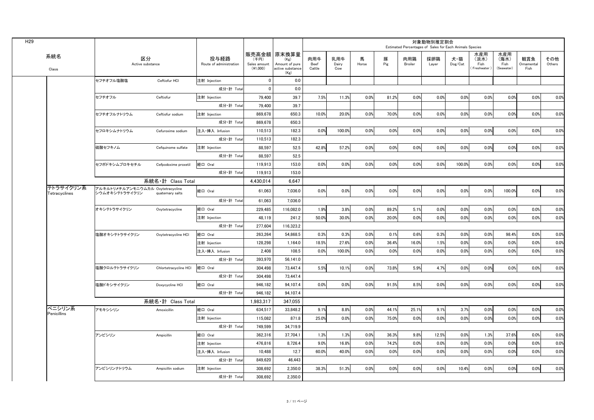| H <sub>29</sub>            |                                                      |                       |                                 |                                    |                                                                   |                              |                     |            |          |                       | 対象動物別推定割合<br>Estimated Percentages of Sales for Each Animals Species |                                    |                                      |                                   |                           |               |
|----------------------------|------------------------------------------------------|-----------------------|---------------------------------|------------------------------------|-------------------------------------------------------------------|------------------------------|---------------------|------------|----------|-----------------------|----------------------------------------------------------------------|------------------------------------|--------------------------------------|-----------------------------------|---------------------------|---------------|
| 系統名<br>Class               | 区分<br>Active substance                               |                       | 投与経路<br>Route of administration | (千円)<br>Sales amount<br>$(*1,000)$ | 販売高金額 原末換算量<br>(Kg)<br>Amount of pure<br>active substance<br>(Kg) | 肉用牛<br><b>Beef</b><br>Cattle | 乳用牛<br>Dairy<br>Cow | 馬<br>Horse | 豚<br>Pig | 肉用鶏<br><b>Broiler</b> | 採卵鶏<br>Layer                                                         | 犬·猫<br>$\mathsf{Dog}/\mathsf{Cat}$ | 水産用<br>(淡水)<br>Fish<br>(Freshwater ) | 水産用<br>(海水)<br>Fish<br>(Seawater) | 観賞魚<br>Ornamental<br>Fish | その他<br>Others |
|                            | セフチオフル塩酸塩                                            | Ceftiofur HCI         | 注射 Injection                    | $\Omega$                           | 0.0                                                               |                              |                     |            |          |                       |                                                                      |                                    |                                      |                                   |                           |               |
|                            |                                                      |                       | 成分·計 Total                      | $\Omega$                           | 0.0                                                               |                              |                     |            |          |                       |                                                                      |                                    |                                      |                                   |                           |               |
|                            | セフチオフル                                               | Ceftiofur             | 注射 Injection                    | 79,400                             | 39.7                                                              | 7.5%                         | 11.3%               | 0.0%       | 81.2%    | 0.0%                  | 0.0%                                                                 | 0.0%                               | 0.0%                                 | 0.0%                              | 0.0%                      | 0.0%          |
|                            |                                                      |                       | 成分·計 Total                      | 79,400                             | 39.7                                                              |                              |                     |            |          |                       |                                                                      |                                    |                                      |                                   |                           |               |
|                            | セフチオフルナトリウム                                          | Ceftiofur sodium      | 注射 Injection                    | 869,678                            | 650.3                                                             | 10.0%                        | 20.0%               | 0.0%       | 70.0%    | 0.0%                  | 0.0%                                                                 | 0.0%                               | 0.0%                                 | 0.0%                              | 0.0%                      | 0.0%          |
|                            |                                                      |                       | 成分·計 Total                      | 869,678                            | 650.3                                                             |                              |                     |            |          |                       |                                                                      |                                    |                                      |                                   |                           |               |
|                            | セフロキシムナトリウム                                          | Cefuroxime sodium     | 注入·挿入 Infusion                  | 110,513                            | 182.3                                                             | 0.0%                         | 100.0%              | 0.0%       | 0.0%     | 0.0%                  | 0.0%                                                                 | 0.0%                               | 0.0%                                 | 0.0%                              | 0.0%                      | 0.0%          |
|                            |                                                      |                       | 成分·計 Total                      | 110,513                            | 182.3                                                             |                              |                     |            |          |                       |                                                                      |                                    |                                      |                                   |                           |               |
|                            | 硫酸セフキノム                                              | Cefquinome sulfate    | 注射 Injection                    | 88,597                             | 52.5                                                              | 42.8%                        | 57.2%               | 0.0%       | 0.0%     | 0.0%                  | 0.0%                                                                 | 0.0%                               | 0.0%                                 | 0.0%                              | 0.0%                      | 0.0%          |
|                            |                                                      |                       | 成分·計 Total                      | 88,597                             | 52.5                                                              |                              |                     |            |          |                       |                                                                      |                                    |                                      |                                   |                           |               |
|                            | セフポドキシムプロキセチル                                        | Cefpodoxime proxetil  | 経口 Oral                         | 119,913                            | 153.0                                                             | 0.0%                         | 0.0%                | 0.0%       | 0.0%     | 0.0%                  | 0.0%                                                                 | 100.0%                             | 0.0%                                 | 0.0%                              | 0.0%                      | 0.0%          |
|                            |                                                      |                       | 成分·計 Total                      | 119,913                            | 153.0                                                             |                              |                     |            |          |                       |                                                                      |                                    |                                      |                                   |                           |               |
|                            |                                                      | 系統名·計 Class Total     |                                 | 4,430,014                          | 6,647                                                             |                              |                     |            |          |                       |                                                                      |                                    |                                      |                                   |                           |               |
| テトラサイクリン系<br>Tetracyclines | アルキルトリメチルアンモニウムカル Oxytetracycline<br> シウムオキシテトラサイクリン | quaternary salts      | 経口 Oral                         | 61,063                             | 7,036.0                                                           | 0.0%                         | 0.0%                | 0.0%       | 0.0%     | $0.0^\circ$           | 0.0%                                                                 | 0.0%                               | 0.0%                                 | 100.0%                            | 0.0%                      | 0.0%          |
|                            |                                                      |                       | 成分·計 Total                      | 61,063                             | 7,036.0                                                           |                              |                     |            |          |                       |                                                                      |                                    |                                      |                                   |                           |               |
|                            | オキシテトラサイクリン                                          | Oxytetracycline       | 経口 Oral                         | 229,485                            | 116,082.0                                                         | 1.9%                         | 3.8%                | 0.0%       | 89.2%    | 5.1%                  | 0.0%                                                                 | 0.0%                               | 0.0%                                 | 0.0%                              | 0.0%                      | 0.0%          |
|                            |                                                      |                       | 注射 Injection                    | 48,119                             | 241.2                                                             | 50.0%                        | 30.0%               | 0.0%       | 20.0%    | 0.0%                  | 0.0%                                                                 | 0.0%                               | 0.0%                                 | 0.0%                              | 0.0%                      | 0.0%          |
|                            |                                                      |                       | 成分·計 Total                      | 277,604                            | 116,323.2                                                         |                              |                     |            |          |                       |                                                                      |                                    |                                      |                                   |                           |               |
|                            | 塩酸オキシテトラサイクリン                                        | Oxytetracycline HCI   | 経口 Oral                         | 263,264                            | 54,868.5                                                          | 0.3%                         | 0.3%                | 0.0%       | 0.1%     | 0.6%                  | 0.3%                                                                 | 0.0%                               | 0.0%                                 | 98.4%                             | 0.0%                      | 0.0%          |
|                            |                                                      |                       | 注射 Injection                    | 128,298                            | 1,164.0                                                           | 18.5%                        | 27.6%               | 0.0%       | 36.4%    | 16.0%                 | 1.5%                                                                 | 0.0%                               | 0.0%                                 | 0.0%                              | 0.0%                      | 0.0%          |
|                            |                                                      |                       | 注入·挿入 Infusion                  | 2,408                              | 108.5                                                             | 0.0%                         | 100.0%              | 0.0%       | 0.0%     | 0.0%                  | 0.0%                                                                 | 0.0%                               | 0.0%                                 | 0.0%                              | 0.0%                      | 0.0%          |
|                            |                                                      |                       | 成分·計 Total                      | 393,970                            | 56,141.0                                                          |                              |                     |            |          |                       |                                                                      |                                    |                                      |                                   |                           |               |
|                            | 塩酸クロルテトラサイクリン                                        | Chlortetracycline HCl | 経口 Oral                         | 304,498                            | 73,447.4                                                          | 5.5%                         | 10.1%               | 0.0%       | 73.8%    | 5.9%                  | 4.7%                                                                 | 0.0%                               | 0.0%                                 | 0.0%                              | 0.0%                      | 0.0%          |
|                            |                                                      |                       | 成分·計 Total                      | 304,498                            | 73,447.4                                                          |                              |                     |            |          |                       |                                                                      |                                    |                                      |                                   |                           |               |
|                            | 塩酸ドキシサイクリン                                           | Doxycycline HCI       | 経口 Oral                         | 946,182                            | 94,107.4                                                          | 0.0%                         | 0.0%                | 0.0%       | 91.5%    | 8.5%                  | 0.0%                                                                 | 0.0%                               | 0.0%                                 | 0.0%                              | 0.0%                      | 0.0%          |
|                            |                                                      |                       | 成分·計 Total                      | 946,182                            | 94,107.4                                                          |                              |                     |            |          |                       |                                                                      |                                    |                                      |                                   |                           |               |
|                            |                                                      | 系統名·計 Class Total     |                                 | 1,983,317                          | 347,055                                                           |                              |                     |            |          |                       |                                                                      |                                    |                                      |                                   |                           |               |
| ペニシリン系                     | アモキシシリン                                              | Amoxicillin           | 経口 Oral                         | 634,517                            | 33,848.2                                                          | 9.1%                         | 8.8%                | 0.0%       | 44.1%    | 25.1%                 | 9.1%                                                                 | 3.7%                               | 0.0%                                 | 0.0%                              | 0.0%                      | 0.0%          |
| <b>Penicillins</b>         |                                                      |                       | 注射 Injection                    | 115,082                            | 871.8                                                             | 25.0%                        | 0.0%                | 0.0%       | 75.0%    | 0.0%                  | 0.0%                                                                 | 0.0%                               | 0.0%                                 | 0.0%                              | 0.0%                      | 0.0%          |
|                            |                                                      |                       | 成分·計 Total                      | 749,599                            | 34,719.9                                                          |                              |                     |            |          |                       |                                                                      |                                    |                                      |                                   |                           |               |
|                            | アンピシリン                                               | Ampicillin            | 経口 Oral                         | 362,316                            | 37,704.1                                                          | 1.3%                         | 1.3%                | 0.0%       | 36.3%    | 9.8%                  | 12.5%                                                                | 0.0%                               | 1.3%                                 | 37.6%                             | 0.0%                      | 0.0%          |
|                            |                                                      |                       | 注射 Injection                    | 476,816                            | 8,726.4                                                           | 9.0%                         | 16.8%               | 0.0%       | 74.2%    | 0.0%                  | 0.0%                                                                 | 0.0%                               | 0.0%                                 | 0.0%                              | 0.0%                      | 0.0%          |
|                            |                                                      |                       | 注入·挿入 Infusion                  | 10,488                             | 12.7                                                              | 60.0%                        | 40.0%               | 0.0%       | 0.0%     | 0.0%                  | 0.0%                                                                 | 0.0%                               | 0.0%                                 | 0.0%                              | 0.0%                      | $0.0\%$       |
|                            |                                                      |                       | 成分·計 Total                      | 849,620                            | 46,443                                                            |                              |                     |            |          |                       |                                                                      |                                    |                                      |                                   |                           |               |
|                            | アンピシリンナトリウム                                          | Ampicillin sodium     | 注射 Injection                    | 308,692                            | 2,350.0                                                           | 38.3%                        | 51.3%               | 0.0%       | 0.0%     | 0.0%                  | 0.0%                                                                 | 10.4%                              | 0.0%                                 | 0.0%                              | 0.0%                      | 0.0%          |
|                            |                                                      |                       | 成分·計 Total                      | 308,692                            | 2,350.0                                                           |                              |                     |            |          |                       |                                                                      |                                    |                                      |                                   |                           |               |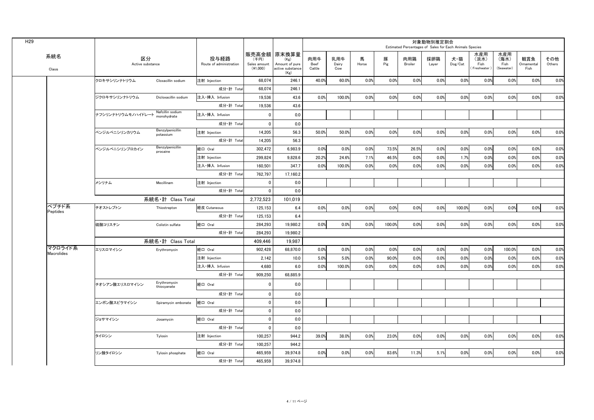|                       |                        |                                 |                                 |                                  |                                                                    |                              |                     |            |          | Estimated Percentages of Sales for Each Animals Species | 対象動物別推定割合    |                |                                    |                                   |                           |               |
|-----------------------|------------------------|---------------------------------|---------------------------------|----------------------------------|--------------------------------------------------------------------|------------------------------|---------------------|------------|----------|---------------------------------------------------------|--------------|----------------|------------------------------------|-----------------------------------|---------------------------|---------------|
| 系統名<br>Class          | 区分<br>Active substance |                                 | 投与経路<br>Route of administration | (千円)<br>Sales amount<br>(41,000) | │販売高金額│原末換算量<br>(Kg)<br>Amount of pure<br>active substance<br>(Kg) | 肉用牛<br><b>Beef</b><br>Cattle | 乳用牛<br>Dairy<br>Cow | 馬<br>Horse | 豚<br>Pig | 肉用鶏<br><b>Broiler</b>                                   | 採卵鶏<br>Layer | 犬・猫<br>Dog/Cat | 水産用<br>(淡水)<br>Fish<br>(Freshwater | 水産用<br>(海水)<br>Fish<br>(Seawater) | 観賞魚<br>Ornamental<br>Fish | その他<br>Others |
|                       | クロキサシリンナトリウム           | Cloxacillin sodium              | 注射 Injection                    | 68,074                           | 246.1                                                              | 40.0%                        | 60.0%               | 0.0%       | $0.0\%$  | 0.0%                                                    | 0.0%         | 0.0%           | 0.0%                               | 0.0%                              | 0.0%                      | 0.0%          |
|                       |                        |                                 | 成分·計 Total                      | 68,074                           | 246.1                                                              |                              |                     |            |          |                                                         |              |                |                                    |                                   |                           |               |
|                       | ジクロキサシリンナトリウム          | Dicloxacillin sodium            | 注入·挿入 Infusion                  | 19,536                           | 43.6                                                               | 0.0%                         | 100.0%              | 0.0%       | 0.0%     | 0.0%                                                    | 0.0%         | 0.0%           | 0.0%                               | 0.0%                              | 0.0%                      | 0.0%          |
|                       |                        |                                 | 成分·計 Total                      | 19,536                           | 43.6                                                               |                              |                     |            |          |                                                         |              |                |                                    |                                   |                           |               |
|                       | ナフシリンナトリウムモノハイドレート     | Nafcillin sodium<br>monohydrate | 注入·挿入 Infusion                  |                                  | 0.0                                                                |                              |                     |            |          |                                                         |              |                |                                    |                                   |                           |               |
|                       |                        |                                 | 成分·計 Total                      |                                  | 0.0                                                                |                              |                     |            |          |                                                         |              |                |                                    |                                   |                           |               |
|                       | ベンジルペニシリンカリウム          | Benzylpenicillin<br>potassium   | 注射 Injection                    | 14,205                           | 56.3                                                               | 50.0%                        | 50.0%               | 0.0%       | 0.0%     | 0.0%                                                    | 0.0%         | 0.0%           | 0.0%                               | 0.0%                              | 0.0%                      | 0.0%          |
|                       |                        |                                 | 成分·計 Total                      | 14,205                           | 56.3                                                               |                              |                     |            |          |                                                         |              |                |                                    |                                   |                           |               |
|                       | ベンジルペニシリンプロカイン         | Benzylpenicillin<br>procaine    | 経口 Oral                         | 302,472                          | 6,983.9                                                            | 0.0%                         | 0.0%                | 0.0%       | 73.5%    | 26.5%                                                   | 0.0%         | 0.0%           | 0.0%                               | 0.0%                              | 0.0%                      | 0.0%          |
|                       |                        |                                 | 注射 Injection                    | 299,824                          | 9,828.6                                                            | 20.2%                        | 24.6%               | 7.1%       | 46.5%    | 0.0%                                                    | 0.0%         | 1.7%           | 0.0%                               | 0.0%                              | 0.0%                      | 0.0%          |
|                       |                        |                                 | 注入·挿入 Infusion                  | 160,501                          | 347.7                                                              | 0.0%                         | 100.0%              | 0.0%       | 0.0%     | 0.0%                                                    | 0.0%         | 0.0%           | 0.0%                               | 0.0%                              | 0.0%                      | 0.0%          |
|                       |                        |                                 | 成分·計 Total                      | 762,797                          | 17,160.2                                                           |                              |                     |            |          |                                                         |              |                |                                    |                                   |                           |               |
|                       | メシリナム                  | Mecillinam                      | 注射 Injection                    |                                  | 0.0                                                                |                              |                     |            |          |                                                         |              |                |                                    |                                   |                           |               |
|                       |                        |                                 | 成分·計 Total                      |                                  | 0.0                                                                |                              |                     |            |          |                                                         |              |                |                                    |                                   |                           |               |
|                       |                        | 系統名·計 Class Total               |                                 | 2,772,523                        | 101,019                                                            |                              |                     |            |          |                                                         |              |                |                                    |                                   |                           |               |
| ペプチド系<br>Peptides     | チオストレプトン               | Thiostrepton                    | 経皮 Cutaneous                    | 125,153                          | 6.4                                                                | 0.0%                         | 0.0%                | 0.0%       | 0.0%     | 0.0%                                                    | 0.0%         | 100.0%         | 0.0%                               | 0.0%                              | 0.0%                      | 0.0%          |
|                       |                        |                                 | 成分·計 Total                      | 125,153                          | 6.4                                                                |                              |                     |            |          |                                                         |              |                |                                    |                                   |                           |               |
|                       | 硫酸コリスチン                | Colistin sulfate                | 経口 Oral                         | 284,293                          | 19,980.2                                                           | 0.0%                         | 0.0%                | 0.0%       | 100.0%   | 0.0%                                                    | 0.0%         | 0.0%           | 0.0%                               | 0.0%                              | 0.0%                      | 0.0%          |
|                       |                        |                                 | 成分·計 Total                      | 284,293                          | 19,980.2                                                           |                              |                     |            |          |                                                         |              |                |                                    |                                   |                           |               |
|                       |                        | 系統名·計 Class Total               |                                 | 409,446                          | 19,987                                                             |                              |                     |            |          |                                                         |              |                |                                    |                                   |                           |               |
| マクロライド系<br>Macrolides | エリスロマイシン               | Erythromycin                    | 経口 Oral                         | 902,428                          | 68,870.0                                                           | 0.0%                         | 0.0%                | 0.0%       | 0.0%     | 0.0%                                                    | 0.0%         | 0.0%           | 0.0%                               | 100.0%                            | 0.0%                      | 0.0%          |
|                       |                        |                                 | 注射 Injection                    | 2,142                            | 10.0                                                               | 5.0%                         | 5.0%                | 0.0%       | 90.0%    | 0.0%                                                    | 0.0%         | 0.0%           | 0.0%                               | 0.0%                              | 0.0%                      | 0.0%          |
|                       |                        |                                 | 注入·挿入 Infusion                  | 4,680                            | 6.0                                                                | 0.0%                         | 100.0%              | 0.0%       | 0.0%     | 0.0%                                                    | 0.0%         | 0.0%           | 0.0%                               | 0.0%                              | 0.0%                      | 0.0%          |
|                       |                        |                                 | 成分·計 Total                      | 909,250                          | 68,885.9                                                           |                              |                     |            |          |                                                         |              |                |                                    |                                   |                           |               |
|                       | チオシアン酸エリスロマイシン         | Erythromycin<br>thiocyanate     | 経口 Oral                         |                                  | 0.0                                                                |                              |                     |            |          |                                                         |              |                |                                    |                                   |                           |               |
|                       |                        |                                 | 成分·計 Total                      |                                  | 0.0                                                                |                              |                     |            |          |                                                         |              |                |                                    |                                   |                           |               |
|                       | エンボン酸スピラマイシン           | Spiramycin embonate             | 経口 Oral                         |                                  | 0.0                                                                |                              |                     |            |          |                                                         |              |                |                                    |                                   |                           |               |
|                       |                        |                                 | 成分·計 Total                      |                                  | 0.0                                                                |                              |                     |            |          |                                                         |              |                |                                    |                                   |                           |               |
|                       | ジョサマイシン                | Josamycin                       | 格口 Oral                         |                                  | 0.0                                                                |                              |                     |            |          |                                                         |              |                |                                    |                                   |                           |               |
|                       |                        |                                 | 成分·計 Total                      | U.                               | 0.0                                                                |                              |                     |            |          |                                                         |              |                |                                    |                                   |                           |               |
|                       | タイロシン                  | Tylosin                         | 注射 Injection                    | 100,257                          | 944.2                                                              | 39.0%                        | 38.0%               | $0.0\%$    | 23.0%    | 0.0%                                                    | 0.0%         | 0.0%           | 0.0%                               | 0.0%                              | 0.0%                      | 0.0%          |
|                       |                        |                                 | 成分·計 Total                      | 100,257                          | 944.2                                                              |                              |                     |            |          |                                                         |              |                |                                    |                                   |                           |               |
|                       | リン酸タイロシン               | Tylosin phosphate               | 経口 Oral                         | 465,959                          | 39,974.8                                                           | 0.0%                         | 0.0%                | $0.0\%$    | 83.6%    | 11.3%                                                   | 5.1%         | 0.0%           | 0.0%                               | 0.0%                              | 0.0%                      | 0.0%          |
|                       |                        |                                 | 成分·計 Total                      | 465,959                          | 39,974.8                                                           |                              |                     |            |          |                                                         |              |                |                                    |                                   |                           |               |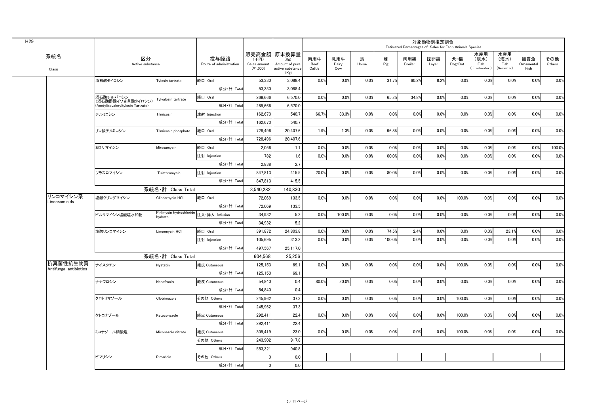|                        |          |                                                         |                                                    |                                 |                                    |                                                                     |                              |                     |            |          | Estimated Percentages of Sales for Each Animals Species | 対象動物別推定割合    |                                    |                                    |                                   |                           |               |
|------------------------|----------|---------------------------------------------------------|----------------------------------------------------|---------------------------------|------------------------------------|---------------------------------------------------------------------|------------------------------|---------------------|------------|----------|---------------------------------------------------------|--------------|------------------------------------|------------------------------------|-----------------------------------|---------------------------|---------------|
| 系統名<br>Class           |          | 区分<br>Active substance                                  |                                                    | 投与経路<br>Route of administration | (千円)<br>Sales amount<br>$(*1,000)$ | 販売高金額   原末換算量<br>(Kg)<br>Amount of pure<br>active substance<br>(Kg) | 肉用牛<br><b>Beef</b><br>Cattle | 乳用牛<br>Dairy<br>Cow | 馬<br>Horse | 豚<br>Pig | 肉用鶏<br><b>Broiler</b>                                   | 採卵鶏<br>Layer | 犬・猫<br>$\mathsf{Dog}/\mathsf{Cat}$ | 水産用<br>(淡水)<br>Fish<br>(Freshwater | 水産用<br>(海水)<br>Fish<br>(Seawater) | 観賞魚<br>Ornamental<br>Fish | その他<br>Others |
|                        |          | 洒石酸タイロシン                                                | Tylosin tartrate                                   | 経口 Oral                         | 53,330                             | 3,088.4                                                             | 0.0%                         | 0.0%                | 0.0%       | 31.7%    | 60.2%                                                   | 8.2%         | 0.0%                               | $0.0\%$                            | 0.0%                              | 0.0%                      | 0.0%          |
|                        |          |                                                         |                                                    | 成分·計 Total                      | 53,330                             | 3,088.4                                                             |                              |                     |            |          |                                                         |              |                                    |                                    |                                   |                           |               |
|                        |          | 酒石酸チルバロシン                                               | Tylvalosin tartrate                                | 経口 Oral                         | 269,666                            | 6,570.0                                                             | 0.0%                         | 0.0%                | 0.0%       | 65.2%    | 34.8%                                                   | 0.0%         | 0.0%                               | $0.0\%$                            | 0.0%                              | 0.0%                      | 0.0%          |
|                        |          | (酒石酸酢酸イソ吉草酸タイロシン)<br>(Acetylisovaleryltylosin Tartrate) |                                                    | 成分·計 Total                      | 269,666                            | 6,570.0                                                             |                              |                     |            |          |                                                         |              |                                    |                                    |                                   |                           |               |
|                        |          | チルミコシン                                                  | Tilmicosin                                         | 注射 Injection                    | 162,673                            | 540.7                                                               | 66.7%                        | 33.3%               | 0.0%       | 0.0%     | 0.0%                                                    | 0.0%         | 0.0%                               | $0.0\%$                            | 0.0%                              | 0.0%                      | 0.0%          |
|                        |          |                                                         |                                                    | 成分·計 Total                      | 162,673                            | 540.7                                                               |                              |                     |            |          |                                                         |              |                                    |                                    |                                   |                           |               |
|                        |          | リン酸チルミコシン                                               | Tilmicosin phosphate                               | 経口 Oral                         | 728,496                            | 20,407.6                                                            | 1.9%                         | $1.3\%$             | 0.0%       | 96.8%    | 0.0%                                                    | 0.0%         | 0.0%                               | 0.0%                               | 0.0%                              | 0.0%                      | 0.0%          |
|                        |          |                                                         |                                                    | 成分·計 Total                      | 728,496                            | 20,407.6                                                            |                              |                     |            |          |                                                         |              |                                    |                                    |                                   |                           |               |
|                        |          | ミロサマイシン                                                 | Mirosamycin                                        | 経口 Oral                         | 2,056                              | 1.1                                                                 | 0.0%                         | 0.0%                | 0.0%       | 0.0%     | 0.0%                                                    | 0.0%         | 0.0%                               | 0.0%                               | 0.0%                              | 0.0%                      | 100.0%        |
|                        |          |                                                         |                                                    | 注射 Injection                    | 782                                | 1.6                                                                 | 0.0%                         | 0.0%                | 0.0%       | 100.0%   | 0.0%                                                    | 0.0%         | 0.0%                               | 0.0%                               | 0.0%                              | 0.0%                      | 0.0%          |
|                        |          |                                                         |                                                    | 成分·計 Total                      | 2,838                              | 2.7                                                                 |                              |                     |            |          |                                                         |              |                                    |                                    |                                   |                           |               |
|                        |          | ツラスロマイシン                                                | Tulathromycin                                      | 注射 Injection                    | 847,813                            | 415.5                                                               | 20.0%                        | 0.0%                | 0.0%       | 80.0%    | 0.0%                                                    | 0.0%         | 0.0%                               | $0.0\%$                            | 0.0%                              | 0.0%                      | 0.0%          |
|                        |          |                                                         |                                                    | 成分·計 Total                      | 847,813                            | 415.5                                                               |                              |                     |            |          |                                                         |              |                                    |                                    |                                   |                           |               |
|                        |          |                                                         | 系統名·計 Class Total                                  |                                 | 3,540,282                          | 140,830                                                             |                              |                     |            |          |                                                         |              |                                    |                                    |                                   |                           |               |
| リンコマイシン系               |          | 塩酸クリンダマイシン                                              | Clindarnycin HCl                                   | 経口 Oral                         | 72,069                             | 133.5                                                               | 0.0%                         | 0.0%                | 0.0%       | 0.0%     | 0.0%                                                    | 0.0%         | 100.0%                             | 0.0%                               | 0.0%                              | 0.0%                      | 0.0%          |
| Lincosaminids          |          |                                                         |                                                    | 成分·計 Total                      | 72,069                             | 133.5                                                               |                              |                     |            |          |                                                         |              |                                    |                                    |                                   |                           |               |
|                        |          | ピルリマイシン塩酸塩水和物                                           | Pirlimycin hydrochloride 注入·挿入 Infusion<br>hydrate |                                 | 34,932                             | 5.2                                                                 | 0.0%                         | 100.0%              | 0.0%       | 0.0%     | 0.0%                                                    | 0.0%         | 0.0%                               | 0.0%                               | 0.0%                              | 0.0%                      | 0.0%          |
|                        |          |                                                         |                                                    | 成分·計 Total                      | 34,932                             | 5.2                                                                 |                              |                     |            |          |                                                         |              |                                    |                                    |                                   |                           |               |
|                        |          | 塩酸リンコマイシン                                               | Lincomycin HCI                                     | 経口 Oral                         | 391,872                            | 24,803.8                                                            | 0.0%                         | 0.0%                | 0.0%       | 74.5%    | 2.4%                                                    | 0.0%         | 0.0%                               | 0.0%                               | 23.1%                             | 0.0%                      | 0.0%          |
|                        |          |                                                         |                                                    | 注射 Injection                    | 105,695                            | 313.2                                                               | 0.0%                         | 0.0%                | 0.0%       | 100.0%   | 0.0%                                                    | 0.0%         | 0.0%                               | 0.0%                               | 0.0%                              | 0.0%                      | 0.0%          |
|                        |          |                                                         |                                                    | 成分·計 Total                      | 497,567                            | 25,117.0                                                            |                              |                     |            |          |                                                         |              |                                    |                                    |                                   |                           |               |
|                        |          |                                                         | 系統名·計 Class Total                                  |                                 | 604,568                            | 25,256                                                              |                              |                     |            |          |                                                         |              |                                    |                                    |                                   |                           |               |
| Antifungal antibiotics | 抗真菌性抗生物質 | ナイスタチン                                                  | Nystatin                                           | 経皮 Cutaneous                    | 125,153                            | 69.1                                                                | 0.0%                         | 0.0%                | 0.0%       | 0.0%     | 0.0%                                                    | 0.0%         | 100.0%                             | 0.0%                               | 0.0%                              | 0.0%                      | 0.0%          |
|                        |          |                                                         |                                                    | 成分·計 Total                      | 125,153                            | 69.1                                                                |                              |                     |            |          |                                                         |              |                                    |                                    |                                   |                           |               |
|                        |          | ナナフロシン                                                  | Nanafrocin                                         | 経皮 Cutaneous                    | 54,840                             | 0.4                                                                 | 80.0%                        | 20.0%               | 0.0%       | 0.0%     | 0.0%                                                    | 0.0%         | 0.0%                               | 0.0%                               | 0.0%                              | 0.0%                      | 0.0%          |
|                        |          |                                                         |                                                    | 成分·計 Total                      | 54,840                             | 0.4                                                                 |                              |                     |            |          |                                                         |              |                                    |                                    |                                   |                           |               |
|                        |          | クロトリマゾール                                                | Clotrimazole                                       | その他 Others                      | 245,962                            | 37.3                                                                | 0.0%                         | 0.0%                | 0.0%       | 0.0%     | 0.0%                                                    | 0.0%         | 100.0%                             | 0.0%                               | 0.0%                              | 0.0%                      | 0.0%          |
|                        |          |                                                         |                                                    | 成分·計 Total                      | 245,962                            | 37.3                                                                |                              |                     |            |          |                                                         |              |                                    |                                    |                                   |                           |               |
|                        |          | ケトコナゾール                                                 | Ketoconazole                                       | 経皮 Cutaneous                    | 292,411                            | 22.4                                                                | 0.0%                         | 0.0%                | $0.0\%$    | 0.0%     | 0.0%                                                    | 0.0%         | 100.0%                             | 0.0%                               | 0.0%                              | 0.0%                      | 0.0%          |
|                        |          |                                                         |                                                    | 成分·計 Total                      | 292,411                            | 22.4                                                                |                              |                     |            |          |                                                         |              |                                    |                                    |                                   |                           |               |
|                        |          | ミコナゾール硝酸塩                                               | Miconazole nitrate                                 | 経皮 Cutaneous                    | 309,419                            | 23.0                                                                | 0.0%                         | 0.0%                | 0.0%       | 0.0%     | 0.0%                                                    | 0.0%         | 100.0%                             | 0.0%                               | 0.0%                              | 0.0%                      | 0.0%          |
|                        |          |                                                         |                                                    | その他 Others                      | 243,902                            | 917.8                                                               |                              |                     |            |          |                                                         |              |                                    |                                    |                                   |                           |               |
|                        |          |                                                         |                                                    | 成分·計 Total                      | 553,321                            | 940.8                                                               |                              |                     |            |          |                                                         |              |                                    |                                    |                                   |                           |               |
|                        |          | ピマリシン                                                   | Pimaricin                                          | その他 Others                      |                                    | 0.0                                                                 |                              |                     |            |          |                                                         |              |                                    |                                    |                                   |                           |               |
|                        |          |                                                         |                                                    | 成分·計 Total                      |                                    | 0.0                                                                 |                              |                     |            |          |                                                         |              |                                    |                                    |                                   |                           |               |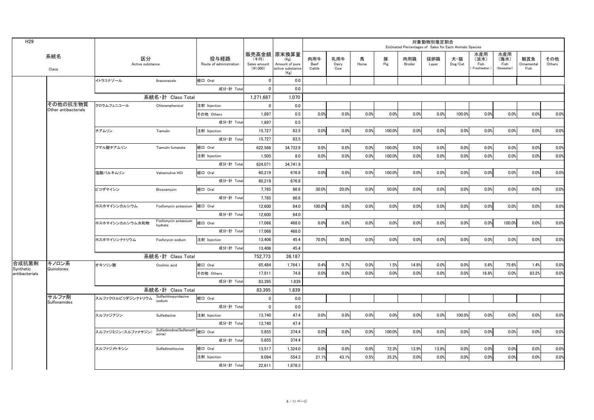| H <sub>29</sub>             |                                  |                        |                                           |                                 |                                  |                                                                    |                              |                     |            |          | Estimated Percentages of Sales for Each Animals Species | 対象動物別推定割合    |                                    |                                      |                                   |                           |               |
|-----------------------------|----------------------------------|------------------------|-------------------------------------------|---------------------------------|----------------------------------|--------------------------------------------------------------------|------------------------------|---------------------|------------|----------|---------------------------------------------------------|--------------|------------------------------------|--------------------------------------|-----------------------------------|---------------------------|---------------|
|                             | 系統名<br>Class                     | 区分<br>Active substance |                                           | 投与経路<br>Route of administration | (千円)<br>Sales amount<br>(41,000) | 販売高金額  原末換算量<br>(Kg)<br>Amount of pure<br>active substance<br>(Kg) | 肉用牛<br><b>Beef</b><br>Cattle | 乳用牛<br>Dairy<br>Cow | 馬<br>Horse | 豚<br>Pig | 肉用鶏<br><b>Broiler</b>                                   | 採卵鶏<br>Layer | 犬·猫<br>$\mathsf{Dog}/\mathsf{Cat}$ | 水産用<br>(淡水)<br>Fish<br>(Freshwater ) | 水産用<br>(海水)<br>Fish<br>(Seawater) | 観賞魚<br>Ornamental<br>Fish | その他<br>Others |
|                             |                                  | イトラコナゾール               | Itraconazole                              | 経口 Oral                         |                                  | 0.0                                                                |                              |                     |            |          |                                                         |              |                                    |                                      |                                   |                           |               |
|                             |                                  |                        |                                           | 成分·計 Total                      |                                  | 0.0                                                                |                              |                     |            |          |                                                         |              |                                    |                                      |                                   |                           |               |
|                             |                                  |                        | 系統名·計 Class Total                         |                                 | 1,271,687                        | 1,070                                                              |                              |                     |            |          |                                                         |              |                                    |                                      |                                   |                           |               |
|                             | その他の抗生物質<br>Other antibacterials | クロラムフェニコール             | Chloramphenicol                           | 注射 Injection                    |                                  | 0.0                                                                |                              |                     |            |          |                                                         |              |                                    |                                      |                                   |                           |               |
|                             |                                  |                        |                                           | その他 Others                      | 1,897                            | 0.5                                                                | 0.0%                         | 0.0%                | 0.0%       | 0.0%     | 0.0%                                                    | 0.0%         | 100.0%                             | 0.0%                                 | $0.0\%$                           | 0.0%                      | 0.0%          |
|                             |                                  |                        |                                           | 成分·計 Total                      | 1,897                            | 0.5                                                                |                              |                     |            |          |                                                         |              |                                    |                                      |                                   |                           |               |
|                             |                                  | チアムリン                  | Tiamulin                                  | 注射 Injection                    | 15,727                           | 83.5                                                               | 0.0%                         | 0.0%                | 0.0%       | 100.0%   | 0.0%                                                    | 0.0%         | 0.0%                               | 0.0%                                 | 0.0%                              | 0.0%                      | 0.0%          |
|                             |                                  |                        |                                           | 成分·計 Total                      | 15,727                           | 83.5                                                               |                              |                     |            |          |                                                         |              |                                    |                                      |                                   |                           |               |
|                             |                                  | フマル酸チアムリン              | Tiamulin fumarate                         | 経口 Oral                         | 622,566                          | 34,733.9                                                           | 0.0%                         | 0.0%                | 0.0%       | 100.0%   | 0.0%                                                    | 0.0%         | 0.0%                               | 0.0%                                 | 0.0%                              | 0.0%                      | 0.0%          |
|                             |                                  |                        |                                           | 注射 Injection                    | 1,505                            | 8.0                                                                | 0.0%                         | 0.0%                | 0.0%       | 100.0%   | 0.0%                                                    | 0.0%         | 0.0%                               | 0.0%                                 | $0.0\%$                           | 0.0%                      | 0.0%          |
|                             |                                  |                        |                                           | 成分·計 Total                      | 624,071                          | 34,741.9                                                           |                              |                     |            |          |                                                         |              |                                    |                                      |                                   |                           |               |
|                             |                                  | 塩酸バルネムリン               | Valnemuline HCI                           | 経口 Oral                         | 60,219                           | 676.8                                                              | 0.0%                         | 0.0%                | 0.0%       | 100.0%   | 0.0%                                                    | 0.0%         | 0.0%                               | 0.0%                                 | 0.0%                              | 0.0%                      | 0.0%          |
|                             |                                  |                        |                                           | 成分·計 Total                      | 60,219                           | 676.8                                                              |                              |                     |            |          |                                                         |              |                                    |                                      |                                   |                           |               |
|                             |                                  | ビコザマイシン                | Bicozamycin                               | 経口 Oral                         | 7,785                            | 86.6                                                               | 30.0%                        | 20.0%               | 0.0%       | $50.0\%$ | 0.0%                                                    | 0.0%         | 0.0%                               | 0.0%                                 | 0.0%                              | 0.0%                      | 0.0%          |
|                             |                                  |                        |                                           | 成分·計 Total                      | 7,785                            | 86.6                                                               |                              |                     |            |          |                                                         |              |                                    |                                      |                                   |                           |               |
|                             |                                  | ホスホマイシンカルシウム           | Fosfomycin potassium                      | 経口 Oral                         | 12,600                           | 84.0                                                               | 100.0%                       | 0.0%                | 0.0%       | 0.0%     | 0.0%                                                    | 0.0%         | 0.0%                               | 0.0%                                 | 0.0%                              | 0.0%                      | 0.0%          |
|                             |                                  |                        |                                           | 成分·計 Total                      | 12,600                           | 84.0                                                               |                              |                     |            |          |                                                         |              |                                    |                                      |                                   |                           |               |
|                             |                                  | ホスホマイシンカルシウム水和物        | Fosfomycin potassium<br>hydrate           | 経口 Oral                         | 17,068                           | 468.0                                                              | 0.0%                         | 0.0%                | 0.0%       | 0.0%     | 0.0%                                                    | 0.0%         | 0.0%                               | 0.0%                                 | 100.0%                            | 0.0%                      | 0.0%          |
|                             |                                  |                        |                                           | 成分·計 Total                      | 17,068                           | 468.0                                                              |                              |                     |            |          |                                                         |              |                                    |                                      |                                   |                           |               |
|                             |                                  | ホスホマイシンナトリウム           | Fosforycin sodium                         | 注射 Injection                    | 13,406                           | 45.4                                                               | 70.0%                        | 30.0%               | 0.0%       | 0.0%     | 0.0%                                                    | 0.0%         | 0.0%                               | 0.0%                                 | 0.0%                              | $0.0\%$                   | 0.0%          |
|                             |                                  |                        |                                           | 成分·計 Total                      | 13,406                           | 45.4                                                               |                              |                     |            |          |                                                         |              |                                    |                                      |                                   |                           |               |
|                             |                                  |                        | 系統名·計 Class Total                         |                                 | 752,773                          | 36,187                                                             |                              |                     |            |          |                                                         |              |                                    |                                      |                                   |                           |               |
| 合成抗菌剤                       | キノロン系<br>Quinolones              | オキソリン酸                 | Oxolinic acid                             | 経口 Oral                         | 65,484                           | 1,764.1                                                            | 0.4%                         | 0.7%                | 0.0%       | 1.5%     | 14.8%                                                   | 0.0%         | 0.0%                               | 5.6%                                 | 75.6%                             | 1.4%                      | 0.0%          |
| Synthetic<br>antibacterials |                                  |                        |                                           | その他 Others                      | 17,911                           | 74.8                                                               | 0.0%                         | 0.0%                | 0.0%       | 0.0%     | 0.0%                                                    | 0.0%         | 0.0%                               | 16.8%                                | 0.0%                              | 83.2%                     | 0.0%          |
|                             |                                  |                        |                                           | 成分·計 Total                      | 83,395                           | 1,839                                                              |                              |                     |            |          |                                                         |              |                                    |                                      |                                   |                           |               |
|                             |                                  |                        | 系統名·計 Class Total                         |                                 | 83,395                           | 1,839                                                              |                              |                     |            |          |                                                         |              |                                    |                                      |                                   |                           |               |
|                             | サルファ剤 <br>Sulfonamides           | スルファクロルピリダジンナトリウム      | Sulfachlorpyridazine<br>sodium            | 経口 Oral                         |                                  | 0.0                                                                |                              |                     |            |          |                                                         |              |                                    |                                      |                                   |                           |               |
|                             |                                  |                        |                                           | 成分·計 Total                      |                                  | 0.0                                                                |                              |                     |            |          |                                                         |              |                                    |                                      |                                   |                           |               |
|                             |                                  | スルファジアジン               | Sulfadiazine                              | 注射 Injection                    | 13,740                           | 47.4                                                               | 0.0%                         | 0.0%                | 0.0%       | 0.0%     | 0.0%                                                    | 0.0%         | 100.0%                             | 0.0%                                 | 0.0%                              | 0.0%                      | 0.0%          |
|                             |                                  |                        |                                           | 成分·計 Total                      | 13,740                           | 47.4                                                               |                              |                     |            |          |                                                         |              |                                    |                                      |                                   |                           |               |
|                             |                                  | スルファジミジン(スルファメサジン)     | Sulfadimidine(Sulfameth 経口 Oral<br>azine) |                                 | 5,855                            | 374.4                                                              | 0.0%                         | 0.0%                | 0.0%       | 100.0%   | 0.0%                                                    | 0.0%         | 0.0%                               | 0.0%                                 | 0.0%                              | 0.0%                      | 0.0%          |
|                             |                                  |                        |                                           | 成分·計 Total                      | 5,855                            | 374.4                                                              |                              |                     |            |          |                                                         |              |                                    |                                      |                                   |                           |               |
|                             |                                  | スルファジメトキシン             | Sulfadimethoxine                          | 経口 Oral                         | 13,517                           | 1,324.0                                                            | 0.0%                         | 0.0%                | 0.0%       | 72.3%    | 13.9%                                                   | 13.8%        | 0.0%                               | 0.0%                                 | 0.0%                              | 0.0%                      | 0.0%          |
|                             |                                  |                        |                                           | 注射 Injection                    | 9,094                            | 554.3                                                              | 21.1%                        | 43.1%               | 0.5%       | 35.2%    | 0.0%                                                    | 0.0%         | 0.0%                               | 0.0%                                 | 0.0%                              | 0.0%                      | 0.0%          |
|                             |                                  |                        |                                           | 成分·計 Total                      | 22,611                           | 1,878.3                                                            |                              |                     |            |          |                                                         |              |                                    |                                      |                                   |                           |               |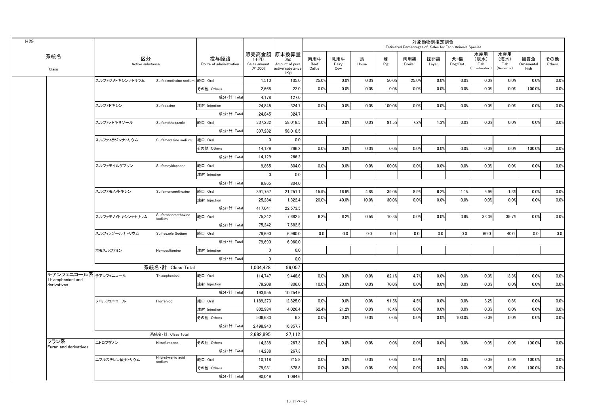| H <sub>29</sub>               |                        |                                 |                                 |                                  |                                                                     |                              |                     |            |          | Estimated Percentages of Sales for Each Animals Species | 対象動物別推定割合    |                                    |                                      |                                   |                           |               |
|-------------------------------|------------------------|---------------------------------|---------------------------------|----------------------------------|---------------------------------------------------------------------|------------------------------|---------------------|------------|----------|---------------------------------------------------------|--------------|------------------------------------|--------------------------------------|-----------------------------------|---------------------------|---------------|
| 系統名<br>Class                  | 区分<br>Active substance |                                 | 投与経路<br>Route of administration | (千円)<br>Sales amount<br>(41,000) | 販売高金額   原末換算量<br>(Kg)<br>Amount of pure<br>active substance<br>(Kg) | 肉用牛<br><b>Beef</b><br>Cattle | 乳用牛<br>Dairy<br>Cow | 馬<br>Horse | 豚<br>Pig | 肉用鶏<br><b>Broiler</b>                                   | 採卵鶏<br>Layer | 犬·猫<br>$\mathsf{Dog}/\mathsf{Cat}$ | 水産用<br>(淡水)<br>Fish<br>(Freshwater ) | 水産用<br>(海水)<br>Fish<br>(Seawater) | 観賞魚<br>Ornamental<br>Fish | その他<br>Others |
|                               | スルファジメトキシンナトリウム        | Sulfadimethxine sodium  経口 Oral |                                 | 1,510                            | 105.0                                                               | 25.0%                        | 0.0%                | 0.0%       | 50.0%    | 25.0%                                                   | 0.0%         | 0.0%                               | 0.0%                                 | 0.0%                              | 0.0%                      | 0.0%          |
|                               |                        |                                 | その他 Others                      | 2,668                            | 22.0                                                                | 0.0%                         | 0.0%                | 0.0%       | 0.0%     | 0.0%                                                    | 0.0%         | 0.0%                               | 0.0%                                 | 0.0%                              | 100.0%                    | 0.0%          |
|                               |                        |                                 | 成分·計 Total                      | 4,178                            | 127.0                                                               |                              |                     |            |          |                                                         |              |                                    |                                      |                                   |                           |               |
|                               | スルファドキシン               | Sulfadoxine                     | 注射 Injection                    | 24,845                           | 324.7                                                               | 0.0%                         | 0.0%                | 0.0%       | 100.0%   | 0.0%                                                    | 0.0%         | 0.0%                               | 0.0%                                 | 0.0%                              | 0.0%                      | 0.0%          |
|                               |                        |                                 | 成分·計 Total                      | 24,845                           | 324.7                                                               |                              |                     |            |          |                                                         |              |                                    |                                      |                                   |                           |               |
|                               | スルファメトキサゾール            | Sulfamethoxazole                | 経口 Oral                         | 337,232                          | 58,018.5                                                            | $0.0\%$                      | 0.0%                | 0.0%       | 91.5%    | 7.2%                                                    | 1.3%         | 0.0%                               | 0.0%                                 | 0.0%                              | 0.0%                      | 0.0%          |
|                               |                        |                                 | 成分·計 Total                      | 337,232                          | 58,018.5                                                            |                              |                     |            |          |                                                         |              |                                    |                                      |                                   |                           |               |
|                               | スルファメラジンナトリウム          | Sulfamerazine sodium            | 経口 Oral                         |                                  | 0.0                                                                 |                              |                     |            |          |                                                         |              |                                    |                                      |                                   |                           |               |
|                               |                        |                                 | その他 Others                      | 14,129                           | 266.2                                                               | 0.0%                         | 0.0%                | 0.0%       | 0.0%     | 0.0%                                                    | 0.0%         | 0.0%                               | 0.0%                                 | 0.0%                              | 100.0%                    | 0.0%          |
|                               |                        |                                 | 成分·計 Total                      | 14,129                           | 266.2                                                               |                              |                     |            |          |                                                         |              |                                    |                                      |                                   |                           |               |
|                               | スルファモイルダプソン            | Sulfamoyldapsone                | ■経口 Oral                        | 9,865                            | 804.0                                                               | 0.0%                         | 0.0%                | 0.0%       | 100.0%   | 0.0%                                                    | 0.0%         | 0.0%                               | 0.0%                                 | 0.0%                              | 0.0%                      | 0.0%          |
|                               |                        |                                 | 注射 Injection                    |                                  | 0.0                                                                 |                              |                     |            |          |                                                         |              |                                    |                                      |                                   |                           |               |
|                               |                        |                                 | 成分·計 Total                      | 9,865                            | 804.0                                                               |                              |                     |            |          |                                                         |              |                                    |                                      |                                   |                           |               |
|                               | スルファモノメトキシン            | Sulfamonomethoxine              | 経口 Oral                         | 391,757                          | 21,251.1                                                            | 15.9%                        | 16.9%               | 4.8%       | 39.0%    | 8.9%                                                    | 6.2%         | 1.1%                               | 5.9%                                 | 1.3%                              | 0.0%                      | 0.0%          |
|                               |                        |                                 | 注射 Injection                    | 25,284                           | 1,322.4                                                             | $20.0\%$                     | 40.0%               | 10.0%      | 30.0%    | 0.0%                                                    | 0.0%         | 0.0%                               | 0.0%                                 | 0.0%                              | 0.0%                      | 0.0%          |
|                               |                        |                                 | 成分·計 Total                      | 417,041                          | 22,573.5                                                            |                              |                     |            |          |                                                         |              |                                    |                                      |                                   |                           |               |
|                               | スルファモノメトキシンナトリウム       | Sulfarnonomethoxine<br>sodium   | 経口 Oral                         | 75,242                           | 7,682.5                                                             | 6.2%                         | 6.2%                | 0.5%       | 10.3%    | 0.0%                                                    | 0.0%         | 3.8%                               | 33.3%                                | 39.7%                             | 0.0%                      | 0.0%          |
|                               |                        |                                 | 成分·計 Total                      | 75,242                           | 7,682.5                                                             |                              |                     |            |          |                                                         |              |                                    |                                      |                                   |                           |               |
|                               | スルフィソゾールナトリウム          | Sulfisozole Sodium              | 経口 Oral                         | 79,690                           | 6,960.0                                                             | 0.0                          | 0.0                 | 0.0        | 0.0      | 0.0                                                     | 0.0          | 0.0                                | 60.0                                 | 40.0                              | 0.0                       | 0.0           |
|                               |                        |                                 | 成分·計 Total                      | 79,690                           | 6,960.0                                                             |                              |                     |            |          |                                                         |              |                                    |                                      |                                   |                           |               |
|                               | ホモスルファミン               | Homosulfamine                   | 注射 Injection                    |                                  | 0.0                                                                 |                              |                     |            |          |                                                         |              |                                    |                                      |                                   |                           |               |
|                               |                        |                                 | 成分·計 Total                      | $\mathbf{0}$                     | 0.0                                                                 |                              |                     |            |          |                                                         |              |                                    |                                      |                                   |                           |               |
|                               |                        | 系統名·計 Class Total               |                                 | 1,004,428                        | 99,057                                                              |                              |                     |            |          |                                                         |              |                                    |                                      |                                   |                           |               |
| Thiamphenicol and             | チアンフェニコール系 チアンフェニュール   | Thiamphenicol                   | 経口 Oral                         | 114,747                          | 9,448.6                                                             | 0.0%                         | 0.0%                | 0.0%       | 82.1%    | 4.7%                                                    | 0.0%         | 0.0%                               | 0.0%                                 | 13.3%                             | 0.0%                      | 0.0%          |
| derivatives                   |                        |                                 | 注射 Injection                    | 79,208                           | 806.0                                                               | 10.0%                        | 20.0%               | 0.0%       | 70.0%    | 0.0%                                                    | 0.0%         | 0.0%                               | 0.0%                                 | 0.0%                              | 0.0%                      | 0.0%          |
|                               |                        |                                 | 成分·計 Total                      | 193,955                          | 10,254.6                                                            |                              |                     |            |          |                                                         |              |                                    |                                      |                                   |                           |               |
|                               | フロルフェニコール              | Florfenicol                     | 経口 Oral                         | 1,189,273                        | 12,825.0                                                            | 0.0%                         | 0.0%                | 0.0%       | 91.5%    | 4.5%                                                    | 0.0%         | 0.0%                               | 3.2%                                 | 0.8%                              | 0.0%                      | 0.0%          |
|                               |                        |                                 | 注射 Injection                    | 802,984                          | 4,026.4                                                             | 62.4%                        | 21.2%               | 0.0%       | 16.4%    | 0.0%                                                    | 0.0%         | 0.0%                               | 0.0%                                 | 0.0%                              | 0.0%                      | 0.0%          |
|                               |                        |                                 | その他 Others                      | 506,683                          | 6.3                                                                 | 0.0%                         | 0.0%                | 0.0%       | 0.0%     | 0.0%                                                    | 0.0%         | 100.0%                             | 0.0%                                 | 0.0%                              | 0.0%                      | 0.0%          |
|                               |                        |                                 | 成分·計 Total                      | 2,498,940                        | 16,857.7                                                            |                              |                     |            |          |                                                         |              |                                    |                                      |                                   |                           |               |
|                               |                        | 系統名·計 Class Total               |                                 | 2,692,895                        | 27,112                                                              |                              |                     |            |          |                                                         |              |                                    |                                      |                                   |                           |               |
| フラン系<br>Furan and derivatives | ニトロフラゾン                | Nitrofurazone                   | その他 Others                      | 14,238                           | 267.3                                                               | $0.0\%$                      | 0.0%                | 0.0%       | 0.0%     | 0.0%                                                    | 0.0%         | 0.0%                               | 0.0%                                 | 0.0%                              | 100.0%                    | 0.0%          |
|                               |                        |                                 | 成分·計 Total                      | 14,238                           | 267.3                                                               |                              |                     |            |          |                                                         |              |                                    |                                      |                                   |                           |               |
|                               | ニフルスチレン酸ナトリウム          | Nifurstyrenic acid<br>sodium    | 経口 Oral                         | 10,118                           | 215.8                                                               | 0.0%                         | 0.0%                | 0.0%       | 0.0%     | 0.0%                                                    | 0.0%         | 0.0%                               | 0.0%                                 | 0.0%                              | 100.0%                    | 0.0%          |
|                               |                        |                                 | その他 Others                      | 79,931                           | 878.8                                                               | 0.0%                         | 0.0%                | 0.0%       | 0.0%     | 0.0%                                                    | 0.0%         | 0.0%                               | 0.0%                                 | 0.0%                              | 100.0%                    | 0.0%          |
|                               |                        |                                 | 成分·計 Total                      | 90,049                           | 1,094.6                                                             |                              |                     |            |          |                                                         |              |                                    |                                      |                                   |                           |               |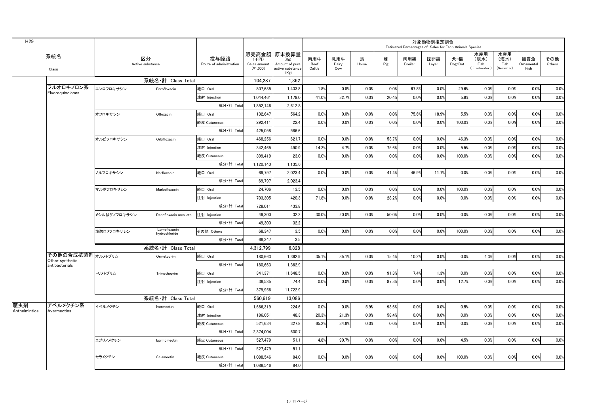| 水産用<br> 販売高金額 原末換算量<br>水産用<br>系統名<br>区分<br>投与経路<br>豚<br>採卵鶏<br>(海水)<br>肉用牛<br>乳用牛<br>肉用鶏<br>犬·猫<br>(淡水)<br>観賞魚<br>その他<br>馬<br>(千円)<br>(Kg)<br>Pig<br>Dairy<br>Horse<br>$\mathsf{Dog}/\mathsf{Cat}$<br>Fish<br>Route of administration<br><b>Broiler</b><br>Fish<br>Others<br>Active substance<br>Amount of pure<br>Ornamenta<br>Sales amount<br><b>Beef</b><br>Layer<br>(Seawater)<br>(41,000)<br>Cattle<br>Cow<br>(Freshwater<br>Fish<br>active substance<br>Class<br>(Kg)<br>系統名·計 Class Total<br>104,287<br>1,362<br>フルオロキノロン系<br>0.0%<br>0.0%<br>1,433.8<br>1.8%<br>0.8%<br>0.0%<br>67.8%<br>29.6%<br>0.0%<br>0.0%<br>0.0%<br>エンロフロキサシン<br>経口 Oral<br>807,685<br>0.0%<br>Enrofloxacin<br>Fluoroquinolones<br>41.0%<br>32.7%<br>0.0%<br>20.4%<br>0.0%<br>0.0%<br>0.0%<br>0.0%<br>1,044,461<br>1,179.0<br>0.0%<br>5.9%<br>0.0%<br>注射 Injection<br>成分·計 Total<br>1,852,146<br>2,612.8<br>0.0%<br>0.0%<br>0.0%<br>0.0%<br>0.0%<br>0.0%<br>0.0%<br>0.0%<br>75.6%<br>18.9%<br>5.5%<br>経口 Oral<br>564.2<br>オフロキサシン<br>132,647<br>Ofloxacin<br>0.0%<br>0.0%<br>0.0%<br>0.0%<br>0.0%<br>0.0%<br>経皮 Cutaneous<br>22.4<br>0.0%<br>0.0%<br>0.0%<br>292,411<br>100.0%<br>0.0%<br>成分·計 Total<br>425,058<br>586.6<br>0.0%<br>53.7%<br>0.0%<br>0.0%<br>オルビフロキサシン<br>経口 Oral<br>0.0%<br>0.0%<br>0.0%<br>0.0%<br>46.3%<br>0.0%<br>0.0%<br>Orbifloxacin<br>468,256<br>621.7<br>14.2%<br>4.7%<br>0.0%<br>75.6%<br>0.0%<br>0.0%<br>5.5%<br>0.0%<br>0.0%<br>0.0%<br>0.0%<br>注射 Injection<br>342,465<br>490.9<br>23.0<br>0.0%<br>0.0%<br>$0.0\%$<br>309,419<br>0.0%<br>0.0%<br>0.0%<br>0.0%<br>100.0%<br>0.0%<br>経皮 Cutaneous<br>0.0%<br>0.0%<br>成分·計 Total<br>1,120,140<br>1,135.6<br>11.7%<br>0.0%<br>2,023.4<br>0.0%<br>0.0%<br>0.0%<br>0.0%<br>0.0%<br>0.0%<br>0.0%<br> 経口 Oral<br>69,797<br>41.4%<br>46.9%<br>ノルフロキサシン<br>Norfloxacin<br>成分·計 Total<br>69,797<br>2,023.4<br>0.0%<br>13.5<br>0.0%<br>0.0%<br>0.0%<br>0.0%<br>0.0%<br>0.0%<br>マルボフロキサシン<br>経口 Oral<br>24,706<br>0.0%<br>0.0%<br>0.0%<br>100.0%<br>Marbofloxacin<br>注射 Injection<br>71.8%<br>0.0%<br>28.2%<br>0.0%<br>0.0%<br>0.0%<br>0.0%<br>703,305<br>420.3<br>0.0%<br>0.0%<br>0.0%<br>0.0%<br>成分·計 Total<br>728,011<br>433.8<br>20.0%<br>0.0%<br>0.0%<br>32.2<br>30.0%<br>50.0%<br>0.0%<br>0.0%<br>0.0%<br>0.0%<br>メシル酸ダノフロキサシン<br>注射 Injection<br>49,300<br>0.0%<br>0.0%<br>Danofloxacin mesilate<br>成分·計 Total<br>32.2<br>49,300<br>Lomefloxacin<br>3.5<br>0.0%<br>その他 Others<br>0.0%<br>0.0%<br>0.0%<br>0.0%<br>0.0%<br>68,347<br>0.0%<br>0.0%<br>0.0%<br>塩酸ロメフロキサシン<br>0.0%<br>100.0%<br>hydrochloride<br>成分·計 Total<br>3.5<br>68,347<br>系統名·計 Class Total<br>4,312,799<br>6,828<br>その他の合成抗菌剤オルメトプリム<br>0.0%<br>経口 Oral<br>35.1%<br>35.1%<br>0.0%<br>0.0%<br>4.3%<br>0.0%<br>180,663<br>1,362.9<br>15.4%<br>10.2%<br>0.0%<br>0.0%<br>Ormetoprim<br>Other synthetic<br>成分·計 Total<br>180,663<br>1,362.9<br>antibacterials<br>1.3%<br>0.0%<br>トリメトプリム<br>91.3%<br>0.0%<br>0.0%<br>0.0%<br> 経口 Oral<br>341,371<br>11,648.5<br>0.0%<br>0.0%<br>$0.0\%$<br>7.4%<br>0.0%<br>Trimethoprim<br>87.3%<br>0.0%<br>0.0%<br>0.0%<br>注射 Injection<br>38,585<br>74.4<br>0.0%<br>0.0%<br>0.0%<br>12.7%<br>0.0%<br>0.0%<br>0.0%<br>成分·計 Total<br>379,956<br>11,722.9<br>系統名·計 Class Total<br>560,619<br>13,086<br>アベルメクチン系<br>5.9%<br>93.6%<br>0.0%<br>0.0%<br>0.0%<br>0.0%<br>0.0%<br>イベルメクチン<br>224.6<br>0.0%<br>0.0%<br>0.5%<br>経口 Oral<br>1,666,319<br>0.0%<br>Ivermectin<br>Anthelmintics<br>Avermectins<br>0.0%<br>48.3<br>20.3%<br>21.3%<br>0.0%<br>58.4%<br>0.0%<br>0.0%<br>0.0%<br>0.0%<br>0.0%<br>注射 Injection<br>186,051<br>0.0%<br>327.8<br>65.2%<br>34.8%<br>0.0%<br>0.0%<br>0.0%<br>521,634<br>0.0%<br>0.0%<br>0.0%<br>0.0%<br>0.0%<br>経皮 Cutaneous<br>成分·計 Total<br>600.7<br>2,374,004<br>4.8%<br>0.0%<br>0.0%<br>0.0%<br>0.0%<br>エプリノメクチン<br>51.1<br>90.7%<br>0.0%<br>4.5%<br>0.0%<br>0.0%<br>経皮 Cutaneous<br>527,479<br>0.0%<br>Eprinomectin<br>成分·計 Total<br>527,479<br>51.1<br>84.0<br>0.0%<br>0.0%<br>0.0%<br>0.0%<br>経皮 Cutaneous<br>0.0%<br>0.0%<br>0.0%<br>100.0%<br>0.0%<br>0.0%<br>セラメクチン<br>1,088,546<br>0.0%<br>Selamectin<br>成分·計 Total<br>1,088,546<br>84.0 | H <sub>29</sub> |  |  |  |  |  | Estimated Percentages of Sales for Each Animals Species | 対象動物別推定割合 |  |  |  |
|--------------------------------------------------------------------------------------------------------------------------------------------------------------------------------------------------------------------------------------------------------------------------------------------------------------------------------------------------------------------------------------------------------------------------------------------------------------------------------------------------------------------------------------------------------------------------------------------------------------------------------------------------------------------------------------------------------------------------------------------------------------------------------------------------------------------------------------------------------------------------------------------------------------------------------------------------------------------------------------------------------------------------------------------------------------------------------------------------------------------------------------------------------------------------------------------------------------------------------------------------------------------------------------------------------------------------------------------------------------------------------------------------------------------------------------------------------------------------------------------------------------------------------------------------------------------------------------------------------------------------------------------------------------------------------------------------------------------------------------------------------------------------------------------------------------------------------------------------------------------------------------------------------------------------------------------------------------------------------------------------------------------------------------------------------------------------------------------------------------------------------------------------------------------------------------------------------------------------------------------------------------------------------------------------------------------------------------------------------------------------------------------------------------------------------------------------------------------------------------------------------------------------------------------------------------------------------------------------------------------------------------------------------------------------------------------------------------------------------------------------------------------------------------------------------------------------------------------------------------------------------------------------------------------------------------------------------------------------------------------------------------------------------------------------------------------------------------------------------------------------------------------------------------------------------------------------------------------------------------------------------------------------------------------------------------------------------------------------------------------------------------------------------------------------------------------------------------------------------------------------------------------------------------------------------------------------------------------------------------------------------------------------------------------------------------------------------------------------------------------------------------------------------------------------------------------------------------------------------------------------------------------------------------------------------------------------------------------------------------------------------------------------------------------------------------------------------------------------------------------------------|-----------------|--|--|--|--|--|---------------------------------------------------------|-----------|--|--|--|
|                                                                                                                                                                                                                                                                                                                                                                                                                                                                                                                                                                                                                                                                                                                                                                                                                                                                                                                                                                                                                                                                                                                                                                                                                                                                                                                                                                                                                                                                                                                                                                                                                                                                                                                                                                                                                                                                                                                                                                                                                                                                                                                                                                                                                                                                                                                                                                                                                                                                                                                                                                                                                                                                                                                                                                                                                                                                                                                                                                                                                                                                                                                                                                                                                                                                                                                                                                                                                                                                                                                                                                                                                                                                                                                                                                                                                                                                                                                                                                                                                                                                                                                                |                 |  |  |  |  |  |                                                         |           |  |  |  |
|                                                                                                                                                                                                                                                                                                                                                                                                                                                                                                                                                                                                                                                                                                                                                                                                                                                                                                                                                                                                                                                                                                                                                                                                                                                                                                                                                                                                                                                                                                                                                                                                                                                                                                                                                                                                                                                                                                                                                                                                                                                                                                                                                                                                                                                                                                                                                                                                                                                                                                                                                                                                                                                                                                                                                                                                                                                                                                                                                                                                                                                                                                                                                                                                                                                                                                                                                                                                                                                                                                                                                                                                                                                                                                                                                                                                                                                                                                                                                                                                                                                                                                                                |                 |  |  |  |  |  |                                                         |           |  |  |  |
| 0.0%                                                                                                                                                                                                                                                                                                                                                                                                                                                                                                                                                                                                                                                                                                                                                                                                                                                                                                                                                                                                                                                                                                                                                                                                                                                                                                                                                                                                                                                                                                                                                                                                                                                                                                                                                                                                                                                                                                                                                                                                                                                                                                                                                                                                                                                                                                                                                                                                                                                                                                                                                                                                                                                                                                                                                                                                                                                                                                                                                                                                                                                                                                                                                                                                                                                                                                                                                                                                                                                                                                                                                                                                                                                                                                                                                                                                                                                                                                                                                                                                                                                                                                                           |                 |  |  |  |  |  |                                                         |           |  |  |  |
|                                                                                                                                                                                                                                                                                                                                                                                                                                                                                                                                                                                                                                                                                                                                                                                                                                                                                                                                                                                                                                                                                                                                                                                                                                                                                                                                                                                                                                                                                                                                                                                                                                                                                                                                                                                                                                                                                                                                                                                                                                                                                                                                                                                                                                                                                                                                                                                                                                                                                                                                                                                                                                                                                                                                                                                                                                                                                                                                                                                                                                                                                                                                                                                                                                                                                                                                                                                                                                                                                                                                                                                                                                                                                                                                                                                                                                                                                                                                                                                                                                                                                                                                |                 |  |  |  |  |  |                                                         |           |  |  |  |
|                                                                                                                                                                                                                                                                                                                                                                                                                                                                                                                                                                                                                                                                                                                                                                                                                                                                                                                                                                                                                                                                                                                                                                                                                                                                                                                                                                                                                                                                                                                                                                                                                                                                                                                                                                                                                                                                                                                                                                                                                                                                                                                                                                                                                                                                                                                                                                                                                                                                                                                                                                                                                                                                                                                                                                                                                                                                                                                                                                                                                                                                                                                                                                                                                                                                                                                                                                                                                                                                                                                                                                                                                                                                                                                                                                                                                                                                                                                                                                                                                                                                                                                                |                 |  |  |  |  |  |                                                         |           |  |  |  |
|                                                                                                                                                                                                                                                                                                                                                                                                                                                                                                                                                                                                                                                                                                                                                                                                                                                                                                                                                                                                                                                                                                                                                                                                                                                                                                                                                                                                                                                                                                                                                                                                                                                                                                                                                                                                                                                                                                                                                                                                                                                                                                                                                                                                                                                                                                                                                                                                                                                                                                                                                                                                                                                                                                                                                                                                                                                                                                                                                                                                                                                                                                                                                                                                                                                                                                                                                                                                                                                                                                                                                                                                                                                                                                                                                                                                                                                                                                                                                                                                                                                                                                                                |                 |  |  |  |  |  |                                                         |           |  |  |  |
|                                                                                                                                                                                                                                                                                                                                                                                                                                                                                                                                                                                                                                                                                                                                                                                                                                                                                                                                                                                                                                                                                                                                                                                                                                                                                                                                                                                                                                                                                                                                                                                                                                                                                                                                                                                                                                                                                                                                                                                                                                                                                                                                                                                                                                                                                                                                                                                                                                                                                                                                                                                                                                                                                                                                                                                                                                                                                                                                                                                                                                                                                                                                                                                                                                                                                                                                                                                                                                                                                                                                                                                                                                                                                                                                                                                                                                                                                                                                                                                                                                                                                                                                |                 |  |  |  |  |  |                                                         |           |  |  |  |
|                                                                                                                                                                                                                                                                                                                                                                                                                                                                                                                                                                                                                                                                                                                                                                                                                                                                                                                                                                                                                                                                                                                                                                                                                                                                                                                                                                                                                                                                                                                                                                                                                                                                                                                                                                                                                                                                                                                                                                                                                                                                                                                                                                                                                                                                                                                                                                                                                                                                                                                                                                                                                                                                                                                                                                                                                                                                                                                                                                                                                                                                                                                                                                                                                                                                                                                                                                                                                                                                                                                                                                                                                                                                                                                                                                                                                                                                                                                                                                                                                                                                                                                                |                 |  |  |  |  |  |                                                         |           |  |  |  |
|                                                                                                                                                                                                                                                                                                                                                                                                                                                                                                                                                                                                                                                                                                                                                                                                                                                                                                                                                                                                                                                                                                                                                                                                                                                                                                                                                                                                                                                                                                                                                                                                                                                                                                                                                                                                                                                                                                                                                                                                                                                                                                                                                                                                                                                                                                                                                                                                                                                                                                                                                                                                                                                                                                                                                                                                                                                                                                                                                                                                                                                                                                                                                                                                                                                                                                                                                                                                                                                                                                                                                                                                                                                                                                                                                                                                                                                                                                                                                                                                                                                                                                                                |                 |  |  |  |  |  |                                                         |           |  |  |  |
|                                                                                                                                                                                                                                                                                                                                                                                                                                                                                                                                                                                                                                                                                                                                                                                                                                                                                                                                                                                                                                                                                                                                                                                                                                                                                                                                                                                                                                                                                                                                                                                                                                                                                                                                                                                                                                                                                                                                                                                                                                                                                                                                                                                                                                                                                                                                                                                                                                                                                                                                                                                                                                                                                                                                                                                                                                                                                                                                                                                                                                                                                                                                                                                                                                                                                                                                                                                                                                                                                                                                                                                                                                                                                                                                                                                                                                                                                                                                                                                                                                                                                                                                |                 |  |  |  |  |  |                                                         |           |  |  |  |
|                                                                                                                                                                                                                                                                                                                                                                                                                                                                                                                                                                                                                                                                                                                                                                                                                                                                                                                                                                                                                                                                                                                                                                                                                                                                                                                                                                                                                                                                                                                                                                                                                                                                                                                                                                                                                                                                                                                                                                                                                                                                                                                                                                                                                                                                                                                                                                                                                                                                                                                                                                                                                                                                                                                                                                                                                                                                                                                                                                                                                                                                                                                                                                                                                                                                                                                                                                                                                                                                                                                                                                                                                                                                                                                                                                                                                                                                                                                                                                                                                                                                                                                                |                 |  |  |  |  |  |                                                         |           |  |  |  |
|                                                                                                                                                                                                                                                                                                                                                                                                                                                                                                                                                                                                                                                                                                                                                                                                                                                                                                                                                                                                                                                                                                                                                                                                                                                                                                                                                                                                                                                                                                                                                                                                                                                                                                                                                                                                                                                                                                                                                                                                                                                                                                                                                                                                                                                                                                                                                                                                                                                                                                                                                                                                                                                                                                                                                                                                                                                                                                                                                                                                                                                                                                                                                                                                                                                                                                                                                                                                                                                                                                                                                                                                                                                                                                                                                                                                                                                                                                                                                                                                                                                                                                                                |                 |  |  |  |  |  |                                                         |           |  |  |  |
|                                                                                                                                                                                                                                                                                                                                                                                                                                                                                                                                                                                                                                                                                                                                                                                                                                                                                                                                                                                                                                                                                                                                                                                                                                                                                                                                                                                                                                                                                                                                                                                                                                                                                                                                                                                                                                                                                                                                                                                                                                                                                                                                                                                                                                                                                                                                                                                                                                                                                                                                                                                                                                                                                                                                                                                                                                                                                                                                                                                                                                                                                                                                                                                                                                                                                                                                                                                                                                                                                                                                                                                                                                                                                                                                                                                                                                                                                                                                                                                                                                                                                                                                |                 |  |  |  |  |  |                                                         |           |  |  |  |
|                                                                                                                                                                                                                                                                                                                                                                                                                                                                                                                                                                                                                                                                                                                                                                                                                                                                                                                                                                                                                                                                                                                                                                                                                                                                                                                                                                                                                                                                                                                                                                                                                                                                                                                                                                                                                                                                                                                                                                                                                                                                                                                                                                                                                                                                                                                                                                                                                                                                                                                                                                                                                                                                                                                                                                                                                                                                                                                                                                                                                                                                                                                                                                                                                                                                                                                                                                                                                                                                                                                                                                                                                                                                                                                                                                                                                                                                                                                                                                                                                                                                                                                                |                 |  |  |  |  |  |                                                         |           |  |  |  |
|                                                                                                                                                                                                                                                                                                                                                                                                                                                                                                                                                                                                                                                                                                                                                                                                                                                                                                                                                                                                                                                                                                                                                                                                                                                                                                                                                                                                                                                                                                                                                                                                                                                                                                                                                                                                                                                                                                                                                                                                                                                                                                                                                                                                                                                                                                                                                                                                                                                                                                                                                                                                                                                                                                                                                                                                                                                                                                                                                                                                                                                                                                                                                                                                                                                                                                                                                                                                                                                                                                                                                                                                                                                                                                                                                                                                                                                                                                                                                                                                                                                                                                                                |                 |  |  |  |  |  |                                                         |           |  |  |  |
|                                                                                                                                                                                                                                                                                                                                                                                                                                                                                                                                                                                                                                                                                                                                                                                                                                                                                                                                                                                                                                                                                                                                                                                                                                                                                                                                                                                                                                                                                                                                                                                                                                                                                                                                                                                                                                                                                                                                                                                                                                                                                                                                                                                                                                                                                                                                                                                                                                                                                                                                                                                                                                                                                                                                                                                                                                                                                                                                                                                                                                                                                                                                                                                                                                                                                                                                                                                                                                                                                                                                                                                                                                                                                                                                                                                                                                                                                                                                                                                                                                                                                                                                |                 |  |  |  |  |  |                                                         |           |  |  |  |
|                                                                                                                                                                                                                                                                                                                                                                                                                                                                                                                                                                                                                                                                                                                                                                                                                                                                                                                                                                                                                                                                                                                                                                                                                                                                                                                                                                                                                                                                                                                                                                                                                                                                                                                                                                                                                                                                                                                                                                                                                                                                                                                                                                                                                                                                                                                                                                                                                                                                                                                                                                                                                                                                                                                                                                                                                                                                                                                                                                                                                                                                                                                                                                                                                                                                                                                                                                                                                                                                                                                                                                                                                                                                                                                                                                                                                                                                                                                                                                                                                                                                                                                                |                 |  |  |  |  |  |                                                         |           |  |  |  |
|                                                                                                                                                                                                                                                                                                                                                                                                                                                                                                                                                                                                                                                                                                                                                                                                                                                                                                                                                                                                                                                                                                                                                                                                                                                                                                                                                                                                                                                                                                                                                                                                                                                                                                                                                                                                                                                                                                                                                                                                                                                                                                                                                                                                                                                                                                                                                                                                                                                                                                                                                                                                                                                                                                                                                                                                                                                                                                                                                                                                                                                                                                                                                                                                                                                                                                                                                                                                                                                                                                                                                                                                                                                                                                                                                                                                                                                                                                                                                                                                                                                                                                                                |                 |  |  |  |  |  |                                                         |           |  |  |  |
|                                                                                                                                                                                                                                                                                                                                                                                                                                                                                                                                                                                                                                                                                                                                                                                                                                                                                                                                                                                                                                                                                                                                                                                                                                                                                                                                                                                                                                                                                                                                                                                                                                                                                                                                                                                                                                                                                                                                                                                                                                                                                                                                                                                                                                                                                                                                                                                                                                                                                                                                                                                                                                                                                                                                                                                                                                                                                                                                                                                                                                                                                                                                                                                                                                                                                                                                                                                                                                                                                                                                                                                                                                                                                                                                                                                                                                                                                                                                                                                                                                                                                                                                |                 |  |  |  |  |  |                                                         |           |  |  |  |
|                                                                                                                                                                                                                                                                                                                                                                                                                                                                                                                                                                                                                                                                                                                                                                                                                                                                                                                                                                                                                                                                                                                                                                                                                                                                                                                                                                                                                                                                                                                                                                                                                                                                                                                                                                                                                                                                                                                                                                                                                                                                                                                                                                                                                                                                                                                                                                                                                                                                                                                                                                                                                                                                                                                                                                                                                                                                                                                                                                                                                                                                                                                                                                                                                                                                                                                                                                                                                                                                                                                                                                                                                                                                                                                                                                                                                                                                                                                                                                                                                                                                                                                                |                 |  |  |  |  |  |                                                         |           |  |  |  |
|                                                                                                                                                                                                                                                                                                                                                                                                                                                                                                                                                                                                                                                                                                                                                                                                                                                                                                                                                                                                                                                                                                                                                                                                                                                                                                                                                                                                                                                                                                                                                                                                                                                                                                                                                                                                                                                                                                                                                                                                                                                                                                                                                                                                                                                                                                                                                                                                                                                                                                                                                                                                                                                                                                                                                                                                                                                                                                                                                                                                                                                                                                                                                                                                                                                                                                                                                                                                                                                                                                                                                                                                                                                                                                                                                                                                                                                                                                                                                                                                                                                                                                                                |                 |  |  |  |  |  |                                                         |           |  |  |  |
|                                                                                                                                                                                                                                                                                                                                                                                                                                                                                                                                                                                                                                                                                                                                                                                                                                                                                                                                                                                                                                                                                                                                                                                                                                                                                                                                                                                                                                                                                                                                                                                                                                                                                                                                                                                                                                                                                                                                                                                                                                                                                                                                                                                                                                                                                                                                                                                                                                                                                                                                                                                                                                                                                                                                                                                                                                                                                                                                                                                                                                                                                                                                                                                                                                                                                                                                                                                                                                                                                                                                                                                                                                                                                                                                                                                                                                                                                                                                                                                                                                                                                                                                |                 |  |  |  |  |  |                                                         |           |  |  |  |
|                                                                                                                                                                                                                                                                                                                                                                                                                                                                                                                                                                                                                                                                                                                                                                                                                                                                                                                                                                                                                                                                                                                                                                                                                                                                                                                                                                                                                                                                                                                                                                                                                                                                                                                                                                                                                                                                                                                                                                                                                                                                                                                                                                                                                                                                                                                                                                                                                                                                                                                                                                                                                                                                                                                                                                                                                                                                                                                                                                                                                                                                                                                                                                                                                                                                                                                                                                                                                                                                                                                                                                                                                                                                                                                                                                                                                                                                                                                                                                                                                                                                                                                                |                 |  |  |  |  |  |                                                         |           |  |  |  |
|                                                                                                                                                                                                                                                                                                                                                                                                                                                                                                                                                                                                                                                                                                                                                                                                                                                                                                                                                                                                                                                                                                                                                                                                                                                                                                                                                                                                                                                                                                                                                                                                                                                                                                                                                                                                                                                                                                                                                                                                                                                                                                                                                                                                                                                                                                                                                                                                                                                                                                                                                                                                                                                                                                                                                                                                                                                                                                                                                                                                                                                                                                                                                                                                                                                                                                                                                                                                                                                                                                                                                                                                                                                                                                                                                                                                                                                                                                                                                                                                                                                                                                                                |                 |  |  |  |  |  |                                                         |           |  |  |  |
|                                                                                                                                                                                                                                                                                                                                                                                                                                                                                                                                                                                                                                                                                                                                                                                                                                                                                                                                                                                                                                                                                                                                                                                                                                                                                                                                                                                                                                                                                                                                                                                                                                                                                                                                                                                                                                                                                                                                                                                                                                                                                                                                                                                                                                                                                                                                                                                                                                                                                                                                                                                                                                                                                                                                                                                                                                                                                                                                                                                                                                                                                                                                                                                                                                                                                                                                                                                                                                                                                                                                                                                                                                                                                                                                                                                                                                                                                                                                                                                                                                                                                                                                |                 |  |  |  |  |  |                                                         |           |  |  |  |
|                                                                                                                                                                                                                                                                                                                                                                                                                                                                                                                                                                                                                                                                                                                                                                                                                                                                                                                                                                                                                                                                                                                                                                                                                                                                                                                                                                                                                                                                                                                                                                                                                                                                                                                                                                                                                                                                                                                                                                                                                                                                                                                                                                                                                                                                                                                                                                                                                                                                                                                                                                                                                                                                                                                                                                                                                                                                                                                                                                                                                                                                                                                                                                                                                                                                                                                                                                                                                                                                                                                                                                                                                                                                                                                                                                                                                                                                                                                                                                                                                                                                                                                                |                 |  |  |  |  |  |                                                         |           |  |  |  |
|                                                                                                                                                                                                                                                                                                                                                                                                                                                                                                                                                                                                                                                                                                                                                                                                                                                                                                                                                                                                                                                                                                                                                                                                                                                                                                                                                                                                                                                                                                                                                                                                                                                                                                                                                                                                                                                                                                                                                                                                                                                                                                                                                                                                                                                                                                                                                                                                                                                                                                                                                                                                                                                                                                                                                                                                                                                                                                                                                                                                                                                                                                                                                                                                                                                                                                                                                                                                                                                                                                                                                                                                                                                                                                                                                                                                                                                                                                                                                                                                                                                                                                                                |                 |  |  |  |  |  |                                                         |           |  |  |  |
|                                                                                                                                                                                                                                                                                                                                                                                                                                                                                                                                                                                                                                                                                                                                                                                                                                                                                                                                                                                                                                                                                                                                                                                                                                                                                                                                                                                                                                                                                                                                                                                                                                                                                                                                                                                                                                                                                                                                                                                                                                                                                                                                                                                                                                                                                                                                                                                                                                                                                                                                                                                                                                                                                                                                                                                                                                                                                                                                                                                                                                                                                                                                                                                                                                                                                                                                                                                                                                                                                                                                                                                                                                                                                                                                                                                                                                                                                                                                                                                                                                                                                                                                |                 |  |  |  |  |  |                                                         |           |  |  |  |
|                                                                                                                                                                                                                                                                                                                                                                                                                                                                                                                                                                                                                                                                                                                                                                                                                                                                                                                                                                                                                                                                                                                                                                                                                                                                                                                                                                                                                                                                                                                                                                                                                                                                                                                                                                                                                                                                                                                                                                                                                                                                                                                                                                                                                                                                                                                                                                                                                                                                                                                                                                                                                                                                                                                                                                                                                                                                                                                                                                                                                                                                                                                                                                                                                                                                                                                                                                                                                                                                                                                                                                                                                                                                                                                                                                                                                                                                                                                                                                                                                                                                                                                                | 駆虫剤             |  |  |  |  |  |                                                         |           |  |  |  |
|                                                                                                                                                                                                                                                                                                                                                                                                                                                                                                                                                                                                                                                                                                                                                                                                                                                                                                                                                                                                                                                                                                                                                                                                                                                                                                                                                                                                                                                                                                                                                                                                                                                                                                                                                                                                                                                                                                                                                                                                                                                                                                                                                                                                                                                                                                                                                                                                                                                                                                                                                                                                                                                                                                                                                                                                                                                                                                                                                                                                                                                                                                                                                                                                                                                                                                                                                                                                                                                                                                                                                                                                                                                                                                                                                                                                                                                                                                                                                                                                                                                                                                                                |                 |  |  |  |  |  |                                                         |           |  |  |  |
|                                                                                                                                                                                                                                                                                                                                                                                                                                                                                                                                                                                                                                                                                                                                                                                                                                                                                                                                                                                                                                                                                                                                                                                                                                                                                                                                                                                                                                                                                                                                                                                                                                                                                                                                                                                                                                                                                                                                                                                                                                                                                                                                                                                                                                                                                                                                                                                                                                                                                                                                                                                                                                                                                                                                                                                                                                                                                                                                                                                                                                                                                                                                                                                                                                                                                                                                                                                                                                                                                                                                                                                                                                                                                                                                                                                                                                                                                                                                                                                                                                                                                                                                |                 |  |  |  |  |  |                                                         |           |  |  |  |
|                                                                                                                                                                                                                                                                                                                                                                                                                                                                                                                                                                                                                                                                                                                                                                                                                                                                                                                                                                                                                                                                                                                                                                                                                                                                                                                                                                                                                                                                                                                                                                                                                                                                                                                                                                                                                                                                                                                                                                                                                                                                                                                                                                                                                                                                                                                                                                                                                                                                                                                                                                                                                                                                                                                                                                                                                                                                                                                                                                                                                                                                                                                                                                                                                                                                                                                                                                                                                                                                                                                                                                                                                                                                                                                                                                                                                                                                                                                                                                                                                                                                                                                                |                 |  |  |  |  |  |                                                         |           |  |  |  |
|                                                                                                                                                                                                                                                                                                                                                                                                                                                                                                                                                                                                                                                                                                                                                                                                                                                                                                                                                                                                                                                                                                                                                                                                                                                                                                                                                                                                                                                                                                                                                                                                                                                                                                                                                                                                                                                                                                                                                                                                                                                                                                                                                                                                                                                                                                                                                                                                                                                                                                                                                                                                                                                                                                                                                                                                                                                                                                                                                                                                                                                                                                                                                                                                                                                                                                                                                                                                                                                                                                                                                                                                                                                                                                                                                                                                                                                                                                                                                                                                                                                                                                                                |                 |  |  |  |  |  |                                                         |           |  |  |  |
|                                                                                                                                                                                                                                                                                                                                                                                                                                                                                                                                                                                                                                                                                                                                                                                                                                                                                                                                                                                                                                                                                                                                                                                                                                                                                                                                                                                                                                                                                                                                                                                                                                                                                                                                                                                                                                                                                                                                                                                                                                                                                                                                                                                                                                                                                                                                                                                                                                                                                                                                                                                                                                                                                                                                                                                                                                                                                                                                                                                                                                                                                                                                                                                                                                                                                                                                                                                                                                                                                                                                                                                                                                                                                                                                                                                                                                                                                                                                                                                                                                                                                                                                |                 |  |  |  |  |  |                                                         |           |  |  |  |
|                                                                                                                                                                                                                                                                                                                                                                                                                                                                                                                                                                                                                                                                                                                                                                                                                                                                                                                                                                                                                                                                                                                                                                                                                                                                                                                                                                                                                                                                                                                                                                                                                                                                                                                                                                                                                                                                                                                                                                                                                                                                                                                                                                                                                                                                                                                                                                                                                                                                                                                                                                                                                                                                                                                                                                                                                                                                                                                                                                                                                                                                                                                                                                                                                                                                                                                                                                                                                                                                                                                                                                                                                                                                                                                                                                                                                                                                                                                                                                                                                                                                                                                                |                 |  |  |  |  |  |                                                         |           |  |  |  |
|                                                                                                                                                                                                                                                                                                                                                                                                                                                                                                                                                                                                                                                                                                                                                                                                                                                                                                                                                                                                                                                                                                                                                                                                                                                                                                                                                                                                                                                                                                                                                                                                                                                                                                                                                                                                                                                                                                                                                                                                                                                                                                                                                                                                                                                                                                                                                                                                                                                                                                                                                                                                                                                                                                                                                                                                                                                                                                                                                                                                                                                                                                                                                                                                                                                                                                                                                                                                                                                                                                                                                                                                                                                                                                                                                                                                                                                                                                                                                                                                                                                                                                                                |                 |  |  |  |  |  |                                                         |           |  |  |  |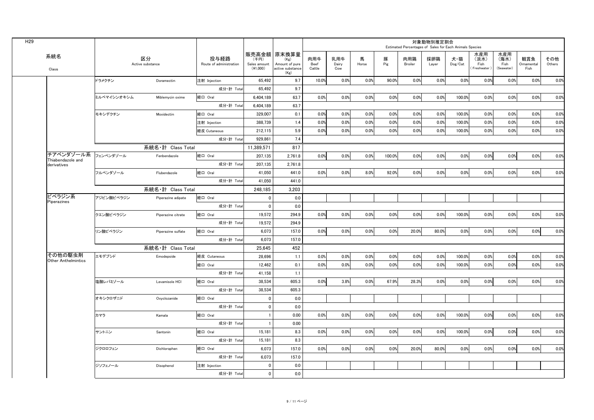| H <sub>29</sub> |                                          |             |                        |                                 |                                  |                                                                    |                              |                     |            |          |                | 対象動物別推定割合    | Estimated Percentages of Sales for Each Animals Species |                                    |                                   |                          |               |
|-----------------|------------------------------------------|-------------|------------------------|---------------------------------|----------------------------------|--------------------------------------------------------------------|------------------------------|---------------------|------------|----------|----------------|--------------|---------------------------------------------------------|------------------------------------|-----------------------------------|--------------------------|---------------|
|                 | 系統名<br>Class                             |             | 区分<br>Active substance | 投与経路<br>Route of administration | (千円)<br>Sales amount<br>(41,000) | │販売高金額│原末換算量<br>(Kg)<br>Amount of pure<br>active substance<br>(Kg) | 肉用牛<br><b>Beef</b><br>Cattle | 乳用牛<br>Dairy<br>Cow | 馬<br>Horse | 豚<br>Pig | 肉用鶏<br>Broiler | 採卵鶏<br>Layer | 犬・猫<br>Dog/Cat                                          | 水産用<br>(淡水)<br>Fish<br>(Freshwater | 水産用<br>(海水)<br>Fish<br>(Seawater) | 観賞魚<br>Ornamenta<br>Fish | その他<br>Others |
|                 |                                          | ドラメクチン      | Doramectin             | 注射 Injection                    | 65,492                           | 9.7                                                                | 10.0%                        | 0.0%                | 0.0%       | 90.0%    | 0.0%           | 0.0%         | 0.0%                                                    | 0.0%                               | 0.0%                              | 0.0%                     | 0.0%          |
|                 |                                          |             |                        | 成分·計 Total                      | 65,492                           | 9.7                                                                |                              |                     |            |          |                |              |                                                         |                                    |                                   |                          |               |
|                 |                                          | ミルベマイシンオキシム | Miblemycin oxime       | 経口 Oral                         | 6,404,189                        | 63.7                                                               | 0.0%                         | 0.0%                | 0.0%       | 0.0%     | 0.0%           | 0.0%         | 100.0%                                                  | 0.0%                               | 0.0%                              | 0.0%                     | 0.0%          |
|                 |                                          |             |                        | 成分·計 Total                      | 6,404,189                        | 63.7                                                               |                              |                     |            |          |                |              |                                                         |                                    |                                   |                          |               |
|                 |                                          | モキシデクチン     | Moxidectin             | 経口 Oral                         | 329,007                          | 0.1                                                                | 0.0%                         | 0.0%                | 0.0%       | 0.0%     | 0.0%           | 0.0%         | 100.0%                                                  | 0.0%                               | 0.0%                              | 0.0%                     | 0.0%          |
|                 |                                          |             |                        | 注射 Injection                    | 388,739                          | 1.4                                                                | 0.0%                         | 0.0%                | 0.0%       | 0.0%     | 0.0%           | 0.0%         | 100.0%                                                  | 0.0%                               | 0.0%                              | 0.0%                     | 0.0%          |
|                 |                                          |             |                        | 経皮 Cutaneous                    | 212,115                          | 5.9                                                                | 0.0%                         | 0.0%                | 0.0%       | 0.0%     | 0.0%           | 0.0%         | 100.0%                                                  | 0.0%                               | 0.0%                              | 0.0%                     | 0.0%          |
|                 |                                          |             |                        | 成分·計 Total                      | 929,861                          | 7.4                                                                |                              |                     |            |          |                |              |                                                         |                                    |                                   |                          |               |
|                 |                                          |             | 系統名·計 Class Total      |                                 | 11,389,571                       | 817                                                                |                              |                     |            |          |                |              |                                                         |                                    |                                   |                          |               |
|                 | チアベンダゾール系 フェンベンダゾール<br>Thiabendazole and |             | Fenbendazole           | 経口 Oral                         | 207,135                          | 2,761.8                                                            | 0.0%                         | 0.0%                | 0.0%       | 100.0%   | 0.0%           | 0.0%         | 0.0%                                                    | 0.0%                               | 0.0%                              | 0.0%                     | 0.0%          |
|                 | derivatives                              |             |                        | 成分·計 Total                      | 207,135                          | 2,761.8                                                            |                              |                     |            |          |                |              |                                                         |                                    |                                   |                          |               |
|                 |                                          | フルベンダゾール    | Flubendazole           | 経口 Oral                         | 41,050                           | 441.0                                                              | 0.0%                         | 0.0%                | 8.0%       | 92.0%    | 0.0%           | 0.0%         | 0.0%                                                    | 0.0%                               | 0.0%                              | 0.0%                     | 0.0%          |
|                 |                                          |             |                        | 成分·計 Total                      | 41,050                           | 441.0                                                              |                              |                     |            |          |                |              |                                                         |                                    |                                   |                          |               |
|                 |                                          |             | 系統名·計 Class Total      |                                 | 248,185                          | 3,203                                                              |                              |                     |            |          |                |              |                                                         |                                    |                                   |                          |               |
|                 | ピペラジン系<br>Piperazines                    | アジピン酸ピペラジン  | Piperazine adipate     | 経口 Oral                         |                                  | 0.0                                                                |                              |                     |            |          |                |              |                                                         |                                    |                                   |                          |               |
|                 |                                          |             |                        | 成分·計 Total                      |                                  | 0.0                                                                |                              |                     |            |          |                |              |                                                         |                                    |                                   |                          |               |
|                 |                                          | クエン酸ピペラジン   | Piperazine citrate     | 経口 Oral                         | 19,572                           | 294.9                                                              | 0.0%                         | 0.0%                | 0.0%       | 0.0%     | 0.0%           | 0.0%         | 100.0%                                                  | 0.0%                               | 0.0%                              | 0.0%                     | 0.0%          |
|                 |                                          |             |                        | 成分·計 Total                      | 19,572                           | 294.9                                                              |                              |                     |            |          |                |              |                                                         |                                    |                                   |                          |               |
|                 |                                          | リン酸ピペラジン    | Piperazine sulfate     | 経口 Oral                         | 6,073                            | 157.0                                                              | 0.0%                         | 0.0%                | 0.0%       | 0.0%     | $20.0\%$       | 80.0%        | 0.0%                                                    | 0.0%                               | 0.0%                              | 0.0%                     | 0.0%          |
|                 |                                          |             |                        | 成分·計 Total                      | 6,073                            | 157.0                                                              |                              |                     |            |          |                |              |                                                         |                                    |                                   |                          |               |
|                 |                                          |             | 系統名·計 Class Total      |                                 | 25,645                           | 452                                                                |                              |                     |            |          |                |              |                                                         |                                    |                                   |                          |               |
|                 | その他の駆虫剤<br>Other Anthelmintics           | エモデプシド      | Emodepside             | 経皮 Cutaneous                    | 28,696                           | 1.1                                                                | 0.0%                         | 0.0%                | 0.0%       | 0.0%     | 0.0%           | 0.0%         | 100.0%                                                  | 0.0%                               | 0.0%                              | 0.0%                     | 0.0%          |
|                 |                                          |             |                        | 経口 Oral                         | 12,462                           | 0.1                                                                | 0.0%                         | 0.0%                | 0.0%       | 0.0%     | 0.0%           | 0.0%         | 100.0%                                                  | 0.0%                               | 0.0%                              | 0.0%                     | 0.0%          |
|                 |                                          |             |                        | 成分·計 Total                      | 41,158                           | 1.1                                                                |                              |                     |            |          |                |              |                                                         |                                    |                                   |                          |               |
|                 |                                          | 塩酸レバミゾール    | Levamisole HCI         | 経口 Oral                         | 38,534                           | 605.3                                                              | 0.0%                         | 3.8%                | 0.0%       | 67.9%    | 28.3%          | 0.0%         | 0.0%                                                    | 0.0%                               | 0.0%                              | 0.0%                     | 0.0%          |
|                 |                                          |             |                        | 成分·計 Total                      | 38,534                           | 605.3                                                              |                              |                     |            |          |                |              |                                                         |                                    |                                   |                          |               |
|                 |                                          | オキシクロザニド    | Oxyclozanide           | 経口 Oral                         |                                  | 0.0                                                                |                              |                     |            |          |                |              |                                                         |                                    |                                   |                          |               |
|                 |                                          |             |                        | 成分·計 Total                      |                                  | 0.0                                                                |                              |                     |            |          |                |              |                                                         |                                    |                                   |                          |               |
|                 |                                          | カマラ         | Kamala                 | 経口 Oral                         |                                  | 0.00                                                               | 0.0%                         | 0.0%                | 0.0%       | 0.0%     | 0.0%           | 0.0%         | 100.0%                                                  | 0.0%                               | 0.0%                              | 0.0%                     | 0.0%          |
|                 |                                          |             |                        | 成分·計 Total                      |                                  | 0.00                                                               |                              |                     |            |          |                |              |                                                         |                                    |                                   |                          |               |
|                 |                                          | サントニン       | Santonin               | 経口 Oral                         | 15,181                           | 8.3                                                                | 0.0%                         | 0.0%                | 0.0%       | 0.0%     | 0.0%           | 0.0%         | 100.0%                                                  | 0.0%                               | 0.0%                              | 0.0%                     | 0.0%          |
|                 |                                          |             |                        | 成分·計 Total                      | 15,181                           | 8.3                                                                |                              |                     |            |          |                |              |                                                         |                                    |                                   |                          |               |
|                 |                                          | ジクロロフェン     | Dichlorophen           | 経口 Oral                         | 6,073                            | 157.0                                                              | 0.0%                         | 0.0%                | 0.0%       | 0.0%     | 20.0%          | 80.0%        | 0.0%                                                    | 0.0%                               | 0.0%                              | 0.0%                     | 0.0%          |
|                 |                                          |             |                        | 成分·計 Total                      | 6,073                            | 157.0                                                              |                              |                     |            |          |                |              |                                                         |                                    |                                   |                          |               |
|                 |                                          | ジソフェノール     | Disophenol             | 注射 Injection                    |                                  | 0.0                                                                |                              |                     |            |          |                |              |                                                         |                                    |                                   |                          |               |
|                 |                                          |             |                        | 成分·計 Total                      |                                  | 0.0                                                                |                              |                     |            |          |                |              |                                                         |                                    |                                   |                          |               |
|                 |                                          |             |                        |                                 |                                  |                                                                    |                              |                     |            |          |                |              |                                                         |                                    |                                   |                          |               |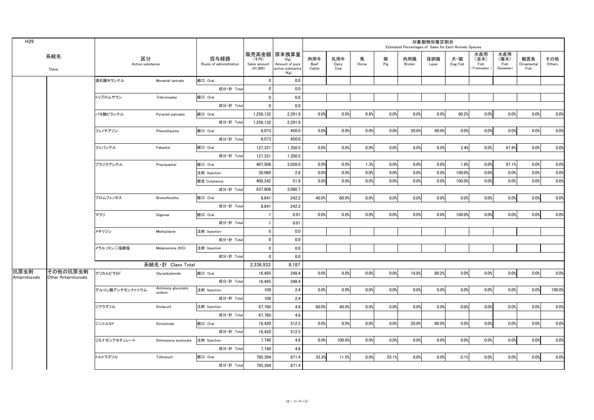| H <sub>29</sub> |                      |                        |                      |                                 |                                  |                                                                   |                              |                     |            |          | Estimated Percentages of Sales for Each Animals Species | 対象動物別推定割合    |                |                                      |                                   |                           |               |
|-----------------|----------------------|------------------------|----------------------|---------------------------------|----------------------------------|-------------------------------------------------------------------|------------------------------|---------------------|------------|----------|---------------------------------------------------------|--------------|----------------|--------------------------------------|-----------------------------------|---------------------------|---------------|
|                 | 系統名<br>Class         | 区分<br>Active substance |                      | 投与経路<br>Route of administration | (千円)<br>Sales amount<br>(41,000) | 販売高金額 原末換算量<br>(Kg)<br>Amount of pure<br>active substance<br>(Kg) | 肉用牛<br><b>Beef</b><br>Cattle | 乳用牛<br>Dairy<br>Cow | 馬<br>Horse | 豚<br>Pig | 肉用鶏<br><b>Broiler</b>                                   | 採卵鶏<br>Layer | 犬·猫<br>Dog/Cat | 水産用<br>(淡水)<br>Fish<br>(Freshwater ) | 水産用<br>(海水)<br>Fish<br>(Seawater) | 観賞魚<br>Ornamental<br>Fish | その他<br>Others |
|                 |                      | 洒石酸モランテル               | Morantel tartrate    | 経口 Oral                         |                                  | 0.0                                                               |                              |                     |            |          |                                                         |              |                |                                      |                                   |                           |               |
|                 |                      |                        |                      | 成分·計 Total                      | $\Omega$                         | 0.0                                                               |                              |                     |            |          |                                                         |              |                |                                      |                                   |                           |               |
|                 |                      | トリブロムサラン               | Tribromsalan         | 経口 Oral                         |                                  | 0.0                                                               |                              |                     |            |          |                                                         |              |                |                                      |                                   |                           |               |
|                 |                      |                        |                      | 成分·計 Total                      |                                  | 0.0                                                               |                              |                     |            |          |                                                         |              |                |                                      |                                   |                           |               |
|                 |                      | パモ酸ピランテル               | Pyrantel pamoate     | 経口 Oral                         | 1,256,132                        | 2,291.9                                                           | 0.0%                         | 0.0%                | 9.8%       | 0.0%     | 0.0%                                                    | 0.0%         | 90.2%          | 0.0%                                 | 0.0%                              | 0.0%                      | 0.0%          |
|                 |                      |                        |                      | 成分·計 Total                      | 1,256,132                        | 2,291.9                                                           |                              |                     |            |          |                                                         |              |                |                                      |                                   |                           |               |
|                 |                      | フェノチアジン                | Phenothaizine        | 経口 Oral                         | 6,073                            | 450.0                                                             | 0.0%                         | 0.0%                | 0.0%       | 0.0%     | 20.0%                                                   | 80.0%        | 0.0%           | 0.0%                                 | 0.0%                              | 0.0%                      | 0.0%          |
|                 |                      |                        |                      | 成分·計 Total                      | 6,073                            | 450.0                                                             |                              |                     |            |          |                                                         |              |                |                                      |                                   |                           |               |
|                 |                      | フェバンテル                 | Febantel             | 経口 Oral                         | 127,331                          | 1,350.5                                                           | 0.0%                         | 0.0%                | 0.0%       | 0.0%     | 0.0%                                                    | 0.0%         | 2.4%           | 0.0%                                 | 97.6%                             | 0.0%                      | 0.0%          |
|                 |                      |                        |                      | 成分·計 Total                      | 127,331                          | 1,350.5                                                           |                              |                     |            |          |                                                         |              |                |                                      |                                   |                           |               |
|                 |                      | プラジクアンテル               | Praziquantel         | 経口 Oral                         | 407,506                          | 3,026.0                                                           | 0.0%                         | 0.0%                | 1.3%       | 0.0%     | 0.0%                                                    | 0.0%         | 1.6%           | 0.0%                                 | 97.1%                             | 0.0%                      | 0.0%          |
|                 |                      |                        |                      | 注射 Injection                    | 30,060                           | 2.8                                                               | 0.0%                         | 0.0%                | 0.0%       | 0.0%     | 0.0%                                                    | 0.0%         | 100.0%         | 0.0%                                 | 0.0%                              | 0.0%                      | 0.0%          |
|                 |                      |                        |                      | 経皮 Cutaneous                    | 400,242                          | 51.9                                                              | 0.0%                         | 0.0%                | 0.0%       | 0.0%     | 0.0%                                                    | 0.0%         | $100.0\%$      | 0.0%                                 | 0.0%                              | 0.0%                      | 0.0%          |
|                 |                      |                        |                      | 成分·計 Total                      | 837,808                          | 3,080.7                                                           |                              |                     |            |          |                                                         |              |                |                                      |                                   |                           |               |
|                 |                      | ブロムフェノホス               | Bromofenofos         | 経口 Oral                         | 8,641                            | 242.2                                                             | 40.0%                        | 60.0%               | 0.0%       | 0.0%     | 0.0%                                                    | 0.0%         | 0.0%           | 0.0%                                 | $0.0\%$                           | 0.0%                      | 0.0%          |
|                 |                      |                        |                      | 成分·計 Total                      | 8,641                            | 242.2                                                             |                              |                     |            |          |                                                         |              |                |                                      |                                   |                           |               |
|                 |                      | マクリ                    | Digenea              | 経口 Oral                         |                                  | 0.01                                                              | 0.0%                         | 0.0%                | 0.0%       | 0.0%     | 0.0%                                                    | 0.0%         | 100.0%         | 0.0%                                 | 0.0%                              | 0.0%                      | 0.0%          |
|                 |                      |                        |                      | 成分·計 Total                      |                                  | 0.01                                                              |                              |                     |            |          |                                                         |              |                |                                      |                                   |                           |               |
|                 |                      | メチリジン                  | Methylidyne          | 注射 Injection                    |                                  | 0.0                                                               |                              |                     |            |          |                                                         |              |                |                                      |                                   |                           |               |
|                 |                      |                        |                      | 成分·計 Total                      | $\Omega$                         | 0.0                                                               |                              |                     |            |          |                                                         |              |                |                                      |                                   |                           |               |
|                 |                      | メラルソミン二塩酸塩             | Melarsomine 2HCl     | 注射 Injection                    |                                  | 0.0                                                               |                              |                     |            |          |                                                         |              |                |                                      |                                   |                           |               |
|                 |                      |                        |                      | 成分·計 Total                      | $\Omega$                         | 0.0                                                               |                              |                     |            |          |                                                         |              |                |                                      |                                   |                           |               |
|                 |                      |                        | 系統名·計 Class Total    |                                 | 2,336,933                        | 8,187                                                             |                              |                     |            |          |                                                         |              |                |                                      |                                   |                           |               |
| 抗原虫剤            | その他の抗原虫剤             | グリカルピラミド               | Glycarbylamide       | 経口 Oral                         | 16,495                           | 248.4                                                             | 0.0%                         | 0.0%                | 0.0%       | 0.0%     | 19.8%                                                   | 80.2%        | 0.0%           | 0.0%                                 | 0.0%                              | 0.0%                      | 0.0%          |
| Antiprotozoals  | Other Antiprotozoals |                        |                      | 成分·計 Total                      | 16,495                           | 248.4                                                             |                              |                     |            |          |                                                         |              |                |                                      |                                   |                           |               |
|                 |                      | グルコン酸アンチモンナトリウム        | Antimony gluconate   | 注射 Injection                    | 109                              | 2.4                                                               | 0.0%                         | 0.0%                | 0.0%       | 0.0%     | 0.0%                                                    | 0.0%         | 0.0%           | 0.0%                                 | 0.0%                              | 0.0%                      | 100.0%        |
|                 |                      |                        | sodium               | 成分·計 Total                      | 109                              | 2.4                                                               |                              |                     |            |          |                                                         |              |                |                                      |                                   |                           |               |
|                 |                      | ジクラズリル                 | Diclazuril           | 注射 Injection                    | 67,760                           | 4.8                                                               | 60.0%                        | 40.0%               | 0.0%       | 0.0%     | 0.0%                                                    | 0.0%         | 0.0%           | 0.0%                                 | 0.0%                              | 0.0%                      | 0.0%          |
|                 |                      |                        |                      | 成分·計 Total                      | 67,760                           | 4.8                                                               |                              |                     |            |          |                                                         |              |                |                                      |                                   |                           |               |
|                 |                      | ジニトルミド                 | Dinitolmide          | 格口 Oral                         | 16,420                           | 512.5                                                             | 0.0%                         | 0.0%                | 0.0%       | 0.0%     | 20.0%                                                   | 80.0%        | 0.0%           | $0.0\%$                              | 0.0%                              | 0.0%                      | 0.0%          |
|                 |                      |                        |                      | 成分·計 Total                      | 16,420                           | 512.5                                                             |                              |                     |            |          |                                                         |              |                |                                      |                                   |                           |               |
|                 |                      | ジミナゼンアセチュレート           | Diminazene aceturate | 注射 Injection                    | 7,740                            | 4.6                                                               | 0.0%                         | 100.0%              | 0.0%       | 0.0%     | 0.0%                                                    | 0.0%         | 0.0%           | 0.0%                                 | 0.0%                              | 0.0%                      | 0.0%          |
|                 |                      |                        |                      | 成分·計 Total                      | 7,740                            | 4.6                                                               |                              |                     |            |          |                                                         |              |                |                                      |                                   |                           |               |
|                 |                      | トルトラズリル                | Toltrazuril          | 経口 Oral                         | 795,394                          | 871.4                                                             | 33.3%                        | 11.5%               | 0.0%       | 55.1%    | 0.0%                                                    | 0.0%         | 0.1%           | 0.0%                                 | 0.0%                              | 0.0%                      | 0.0%          |
|                 |                      |                        |                      | 成分·計 Total                      | 795,394                          | 871.4                                                             |                              |                     |            |          |                                                         |              |                |                                      |                                   |                           |               |
|                 |                      |                        |                      |                                 |                                  |                                                                   |                              |                     |            |          |                                                         |              |                |                                      |                                   |                           |               |